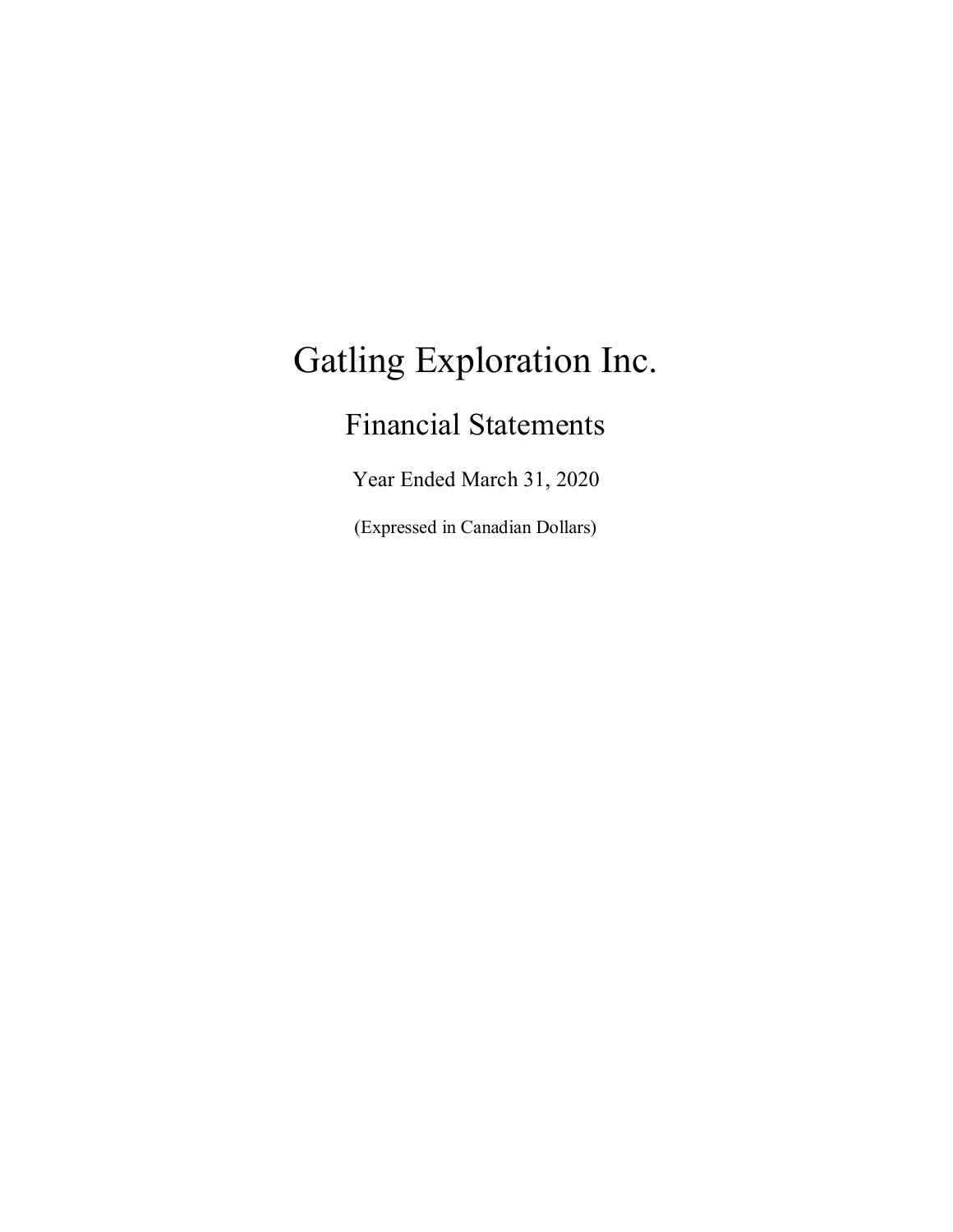# Gatling Exploration Inc.

# Financial Statements

Year Ended March 31, 2020

(Expressed in Canadian Dollars)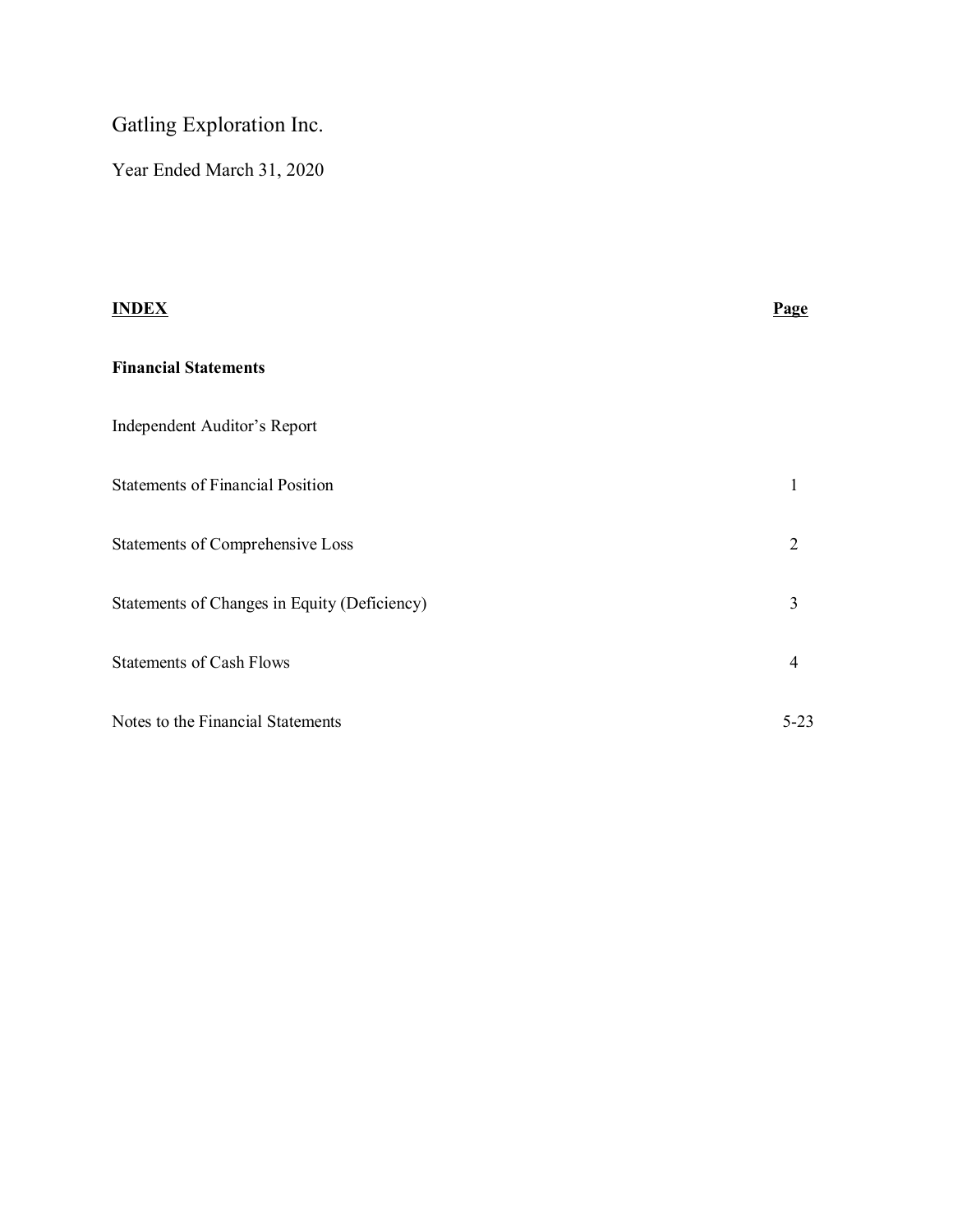Gatling Exploration Inc.

Year Ended March 31, 2020

| <b>INDEX</b>                                 | <b>Page</b>    |
|----------------------------------------------|----------------|
| <b>Financial Statements</b>                  |                |
| Independent Auditor's Report                 |                |
| <b>Statements of Financial Position</b>      | $\mathbf{1}$   |
| <b>Statements of Comprehensive Loss</b>      | $\overline{2}$ |
| Statements of Changes in Equity (Deficiency) | 3              |
| <b>Statements of Cash Flows</b>              | $\overline{4}$ |
| Notes to the Financial Statements            | $5 - 23$       |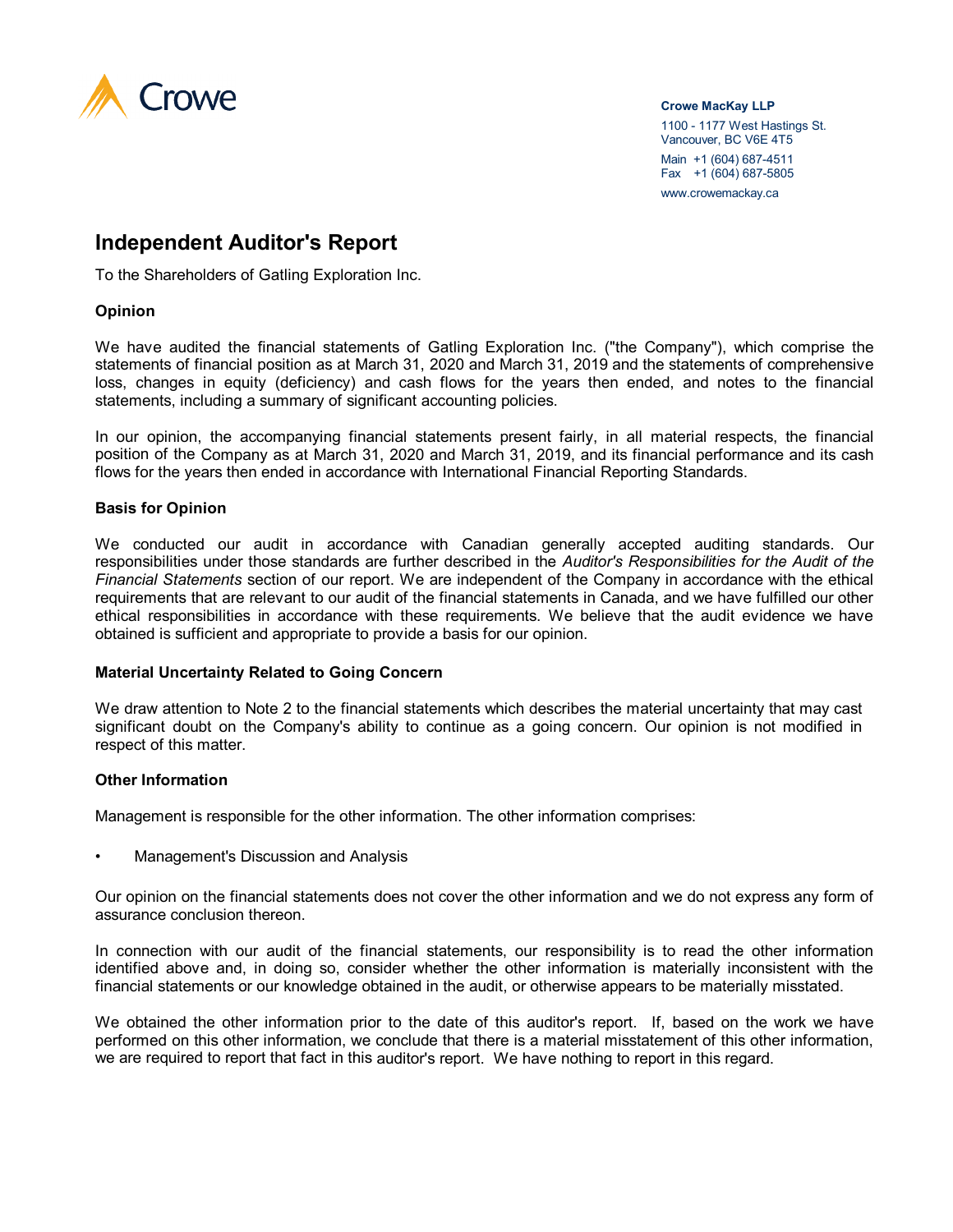

**Crowe MacKay LLP** 1100 - 1177 West Hastings St. Vancouver, BC V6E 4T5 Main +1 (604) 687-4511 Fax +1 (604) 687-5805 www.crowemackay.ca

# **Independent Auditor's Report**

To the Shareholders of Gatling Exploration Inc.

## **Opinion**

We have audited the financial statements of Gatling Exploration Inc. ("the Company"), which comprise the statements of financial position as at March 31, 2020 and March 31, 2019 and the statements of comprehensive loss, changes in equity (deficiency) and cash flows for the years then ended, and notes to the financial statements, including a summary of significant accounting policies.

In our opinion, the accompanying financial statements present fairly, in all material respects, the financial position of the Company as at March 31, 2020 and March 31, 2019, and its financial performance and its cash flows for the years then ended in accordance with International Financial Reporting Standards.

## **Basis for Opinion**

We conducted our audit in accordance with Canadian generally accepted auditing standards. Our responsibilities under those standards are further described in the *Auditor's Responsibilities for the Audit of the Financial Statements* section of our report. We are independent of the Company in accordance with the ethical requirements that are relevant to our audit of the financial statements in Canada, and we have fulfilled our other ethical responsibilities in accordance with these requirements. We believe that the audit evidence we have obtained is sufficient and appropriate to provide a basis for our opinion.

#### **Material Uncertainty Related to Going Concern**

We draw attention to Note 2 to the financial statements which describes the material uncertainty that may cast significant doubt on the Company's ability to continue as a going concern. Our opinion is not modified in respect of this matter.

## **Other Information**

Management is responsible for the other information. The other information comprises:

• Management's Discussion and Analysis

Our opinion on the financial statements does not cover the other information and we do not express any form of assurance conclusion thereon.

In connection with our audit of the financial statements, our responsibility is to read the other information identified above and, in doing so, consider whether the other information is materially inconsistent with the financial statements or our knowledge obtained in the audit, or otherwise appears to be materially misstated.

We obtained the other information prior to the date of this auditor's report. If, based on the work we have performed on this other information, we conclude that there is a material misstatement of this other information, we are required to report that fact in this auditor's report. We have nothing to report in this regard.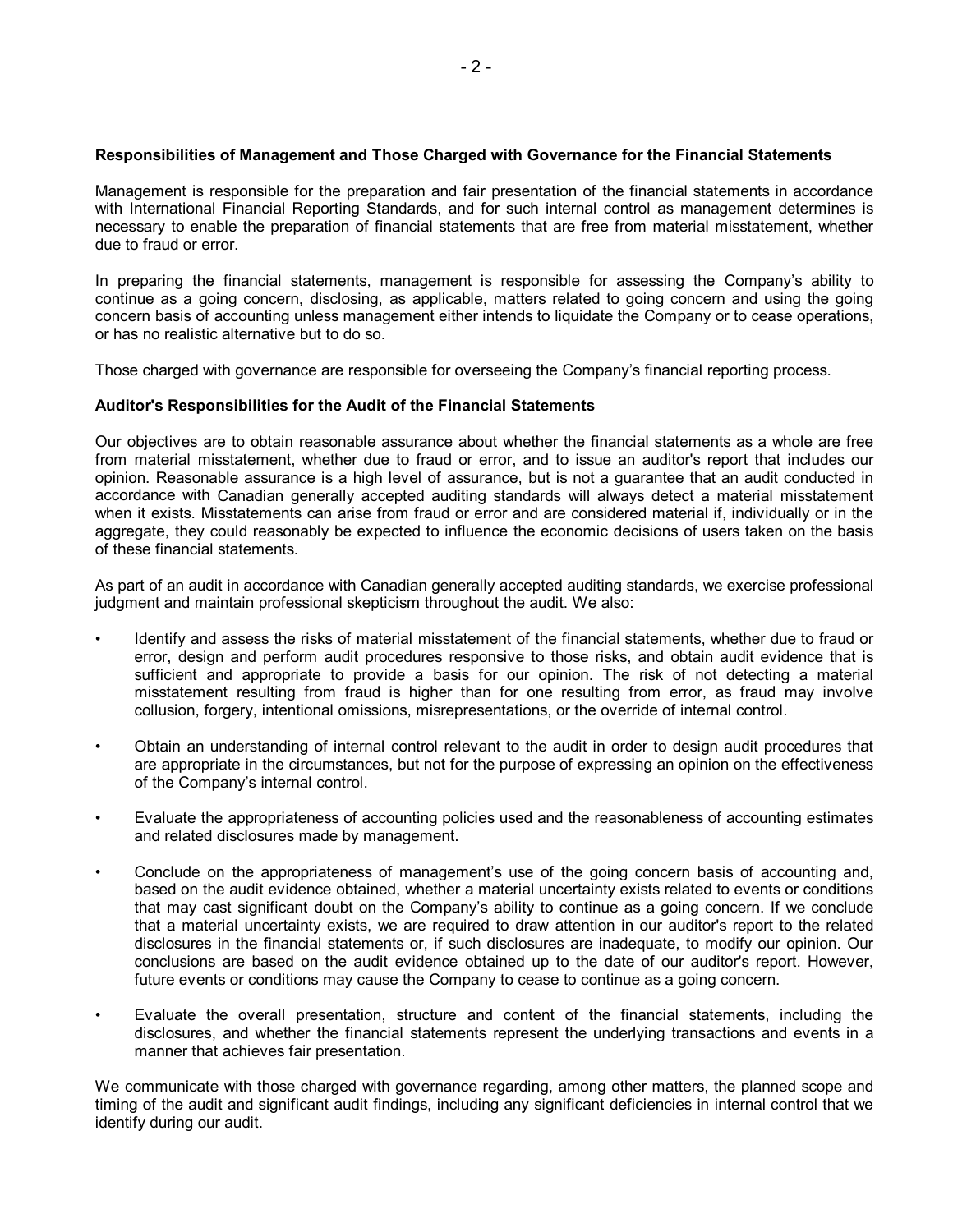## **Responsibilities of Management and Those Charged with Governance for the Financial Statements**

Management is responsible for the preparation and fair presentation of the financial statements in accordance with International Financial Reporting Standards, and for such internal control as management determines is necessary to enable the preparation of financial statements that are free from material misstatement, whether due to fraud or error.

In preparing the financial statements, management is responsible for assessing the Company's ability to continue as a going concern, disclosing, as applicable, matters related to going concern and using the going concern basis of accounting unless management either intends to liquidate the Company or to cease operations, or has no realistic alternative but to do so.

Those charged with governance are responsible for overseeing the Company's financial reporting process.

## **Auditor's Responsibilities for the Audit of the Financial Statements**

Our objectives are to obtain reasonable assurance about whether the financial statements as a whole are free from material misstatement, whether due to fraud or error, and to issue an auditor's report that includes our opinion. Reasonable assurance is a high level of assurance, but is not a guarantee that an audit conducted in accordance with Canadian generally accepted auditing standards will always detect a material misstatement when it exists. Misstatements can arise from fraud or error and are considered material if, individually or in the aggregate, they could reasonably be expected to influence the economic decisions of users taken on the basis of these financial statements.

As part of an audit in accordance with Canadian generally accepted auditing standards, we exercise professional judgment and maintain professional skepticism throughout the audit. We also:

- Identify and assess the risks of material misstatement of the financial statements, whether due to fraud or error, design and perform audit procedures responsive to those risks, and obtain audit evidence that is sufficient and appropriate to provide a basis for our opinion. The risk of not detecting a material misstatement resulting from fraud is higher than for one resulting from error, as fraud may involve collusion, forgery, intentional omissions, misrepresentations, or the override of internal control.
- Obtain an understanding of internal control relevant to the audit in order to design audit procedures that are appropriate in the circumstances, but not for the purpose of expressing an opinion on the effectiveness of the Company's internal control.
- Evaluate the appropriateness of accounting policies used and the reasonableness of accounting estimates and related disclosures made by management.
- Conclude on the appropriateness of management's use of the going concern basis of accounting and, based on the audit evidence obtained, whether a material uncertainty exists related to events or conditions that may cast significant doubt on the Company's ability to continue as a going concern. If we conclude that a material uncertainty exists, we are required to draw attention in our auditor's report to the related disclosures in the financial statements or, if such disclosures are inadequate, to modify our opinion. Our conclusions are based on the audit evidence obtained up to the date of our auditor's report. However, future events or conditions may cause the Company to cease to continue as a going concern.
- Evaluate the overall presentation, structure and content of the financial statements, including the disclosures, and whether the financial statements represent the underlying transactions and events in a manner that achieves fair presentation.

We communicate with those charged with governance regarding, among other matters, the planned scope and timing of the audit and significant audit findings, including any significant deficiencies in internal control that we identify during our audit.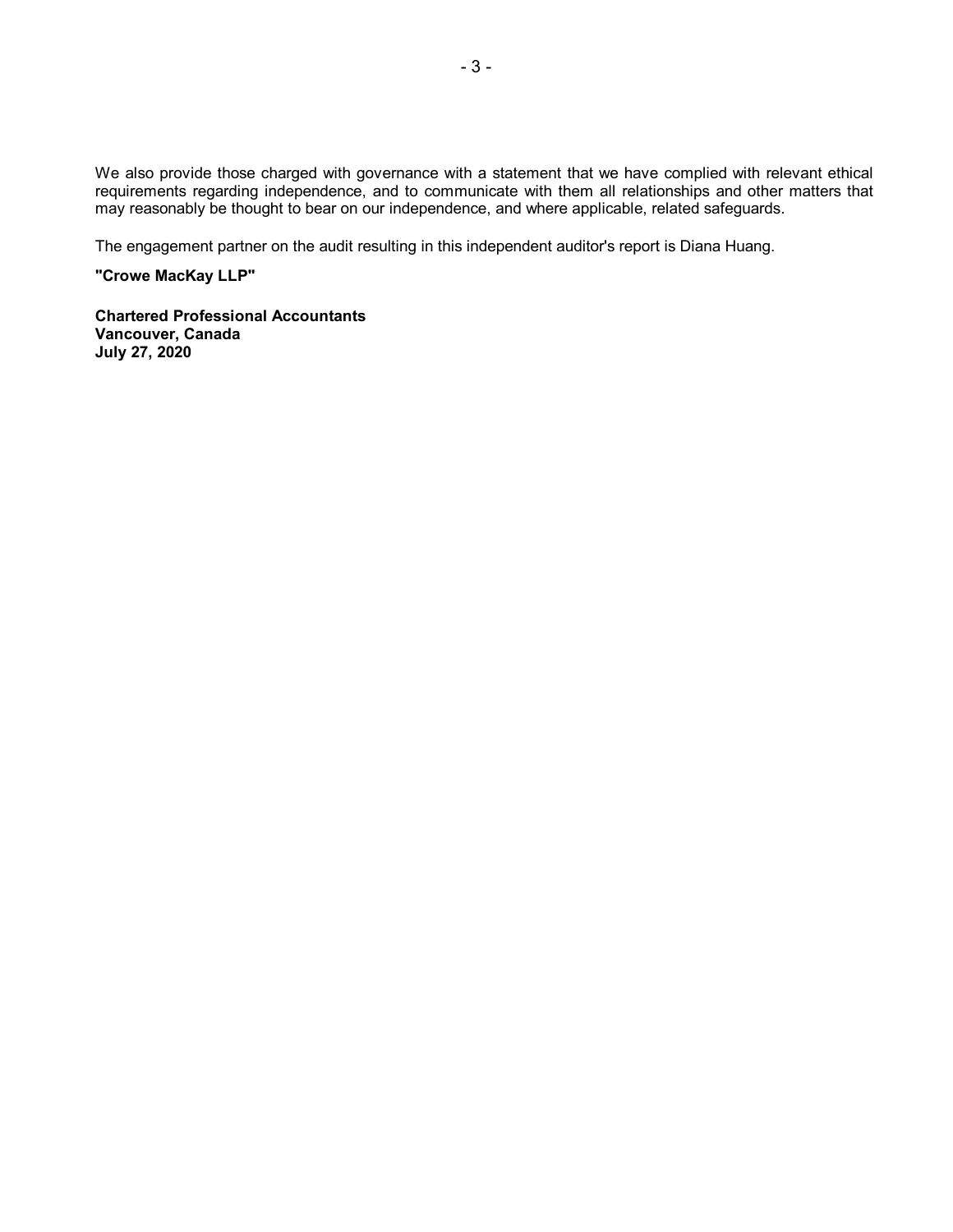We also provide those charged with governance with a statement that we have complied with relevant ethical requirements regarding independence, and to communicate with them all relationships and other matters that may reasonably be thought to bear on our independence, and where applicable, related safeguards.

The engagement partner on the audit resulting in this independent auditor's report is Diana Huang.

**"Crowe MacKay LLP"**

**Chartered Professional Accountants Vancouver, Canada July 27, 2020**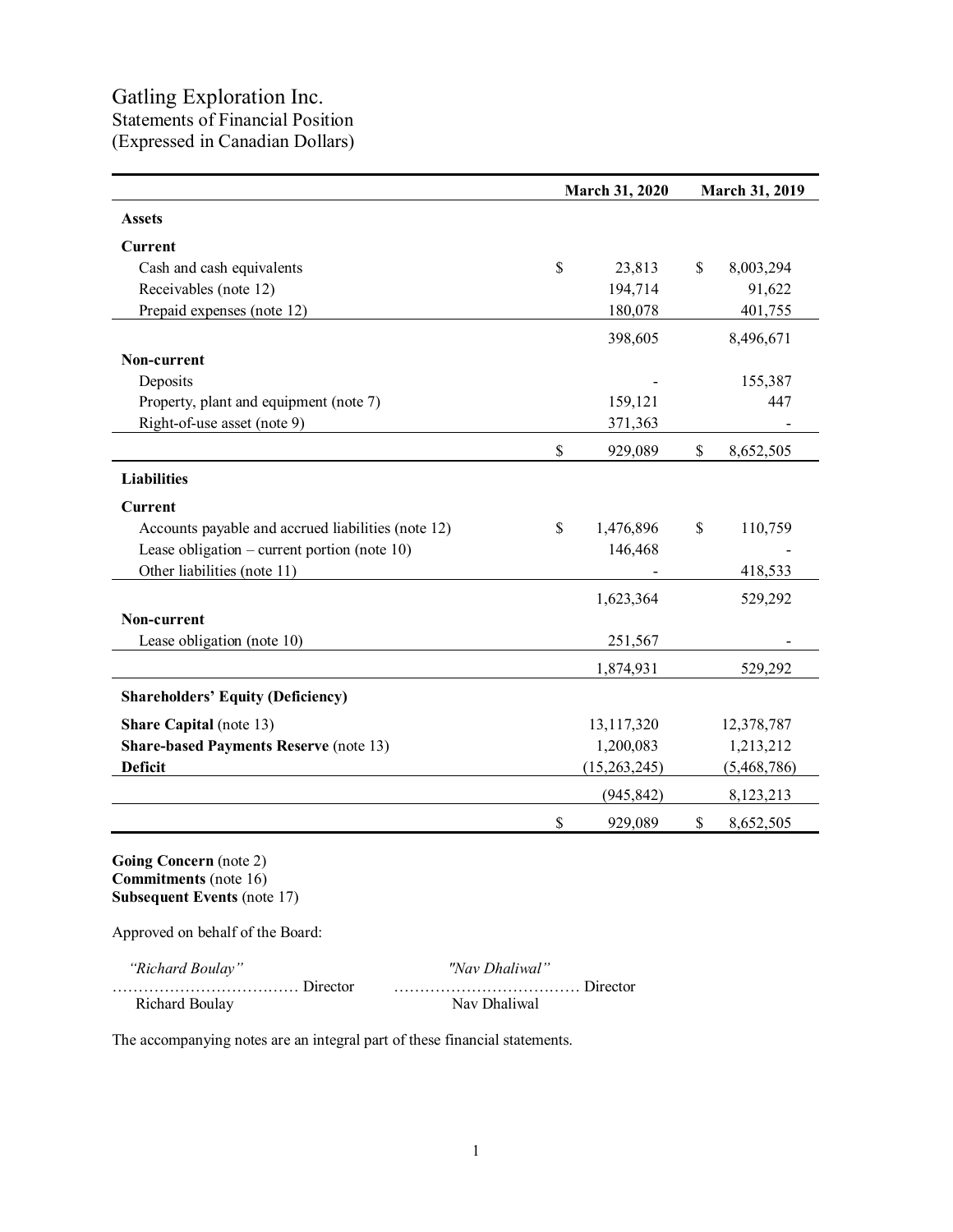# Gatling Exploration Inc. Statements of Financial Position (Expressed in Canadian Dollars)

| <b>Assets</b><br><b>Current</b><br>\$<br>$\mathbb{S}$<br>Cash and cash equivalents<br>23,813<br>8,003,294<br>Receivables (note 12)<br>194,714<br>91,622<br>Prepaid expenses (note 12)<br>180,078<br>401,755<br>398,605<br>8,496,671<br>Non-current<br>Deposits<br>155,387<br>159,121<br>447<br>Property, plant and equipment (note 7)<br>Right-of-use asset (note 9)<br>371,363<br>\$<br>929,089<br>\$<br>8,652,505<br><b>Liabilities</b><br><b>Current</b><br>\$<br>Accounts payable and accrued liabilities (note 12)<br>1,476,896<br>\$<br>110,759<br>Lease obligation – current portion (note $10$ )<br>146,468<br>Other liabilities (note 11)<br>418,533<br>1,623,364<br>529,292<br>Non-current<br>251,567<br>Lease obligation (note 10)<br>529,292<br>1,874,931<br><b>Shareholders' Equity (Deficiency)</b><br>13,117,320<br><b>Share Capital</b> (note 13)<br>12,378,787<br><b>Share-based Payments Reserve (note 13)</b><br>1,200,083<br>1,213,212<br><b>Deficit</b><br>(15,263,245)<br>(5,468,786)<br>(945, 842)<br>8,123,213<br>\$<br>929,089<br>\$<br>8,652,505 | March 31, 2020 |  | March 31, 2019 |  |
|----------------------------------------------------------------------------------------------------------------------------------------------------------------------------------------------------------------------------------------------------------------------------------------------------------------------------------------------------------------------------------------------------------------------------------------------------------------------------------------------------------------------------------------------------------------------------------------------------------------------------------------------------------------------------------------------------------------------------------------------------------------------------------------------------------------------------------------------------------------------------------------------------------------------------------------------------------------------------------------------------------------------------------------------------------------------------|----------------|--|----------------|--|
|                                                                                                                                                                                                                                                                                                                                                                                                                                                                                                                                                                                                                                                                                                                                                                                                                                                                                                                                                                                                                                                                            |                |  |                |  |
|                                                                                                                                                                                                                                                                                                                                                                                                                                                                                                                                                                                                                                                                                                                                                                                                                                                                                                                                                                                                                                                                            |                |  |                |  |
|                                                                                                                                                                                                                                                                                                                                                                                                                                                                                                                                                                                                                                                                                                                                                                                                                                                                                                                                                                                                                                                                            |                |  |                |  |
|                                                                                                                                                                                                                                                                                                                                                                                                                                                                                                                                                                                                                                                                                                                                                                                                                                                                                                                                                                                                                                                                            |                |  |                |  |
|                                                                                                                                                                                                                                                                                                                                                                                                                                                                                                                                                                                                                                                                                                                                                                                                                                                                                                                                                                                                                                                                            |                |  |                |  |
|                                                                                                                                                                                                                                                                                                                                                                                                                                                                                                                                                                                                                                                                                                                                                                                                                                                                                                                                                                                                                                                                            |                |  |                |  |
|                                                                                                                                                                                                                                                                                                                                                                                                                                                                                                                                                                                                                                                                                                                                                                                                                                                                                                                                                                                                                                                                            |                |  |                |  |
|                                                                                                                                                                                                                                                                                                                                                                                                                                                                                                                                                                                                                                                                                                                                                                                                                                                                                                                                                                                                                                                                            |                |  |                |  |
|                                                                                                                                                                                                                                                                                                                                                                                                                                                                                                                                                                                                                                                                                                                                                                                                                                                                                                                                                                                                                                                                            |                |  |                |  |
|                                                                                                                                                                                                                                                                                                                                                                                                                                                                                                                                                                                                                                                                                                                                                                                                                                                                                                                                                                                                                                                                            |                |  |                |  |
|                                                                                                                                                                                                                                                                                                                                                                                                                                                                                                                                                                                                                                                                                                                                                                                                                                                                                                                                                                                                                                                                            |                |  |                |  |
|                                                                                                                                                                                                                                                                                                                                                                                                                                                                                                                                                                                                                                                                                                                                                                                                                                                                                                                                                                                                                                                                            |                |  |                |  |
|                                                                                                                                                                                                                                                                                                                                                                                                                                                                                                                                                                                                                                                                                                                                                                                                                                                                                                                                                                                                                                                                            |                |  |                |  |
|                                                                                                                                                                                                                                                                                                                                                                                                                                                                                                                                                                                                                                                                                                                                                                                                                                                                                                                                                                                                                                                                            |                |  |                |  |
|                                                                                                                                                                                                                                                                                                                                                                                                                                                                                                                                                                                                                                                                                                                                                                                                                                                                                                                                                                                                                                                                            |                |  |                |  |
|                                                                                                                                                                                                                                                                                                                                                                                                                                                                                                                                                                                                                                                                                                                                                                                                                                                                                                                                                                                                                                                                            |                |  |                |  |
|                                                                                                                                                                                                                                                                                                                                                                                                                                                                                                                                                                                                                                                                                                                                                                                                                                                                                                                                                                                                                                                                            |                |  |                |  |
|                                                                                                                                                                                                                                                                                                                                                                                                                                                                                                                                                                                                                                                                                                                                                                                                                                                                                                                                                                                                                                                                            |                |  |                |  |
|                                                                                                                                                                                                                                                                                                                                                                                                                                                                                                                                                                                                                                                                                                                                                                                                                                                                                                                                                                                                                                                                            |                |  |                |  |
|                                                                                                                                                                                                                                                                                                                                                                                                                                                                                                                                                                                                                                                                                                                                                                                                                                                                                                                                                                                                                                                                            |                |  |                |  |
|                                                                                                                                                                                                                                                                                                                                                                                                                                                                                                                                                                                                                                                                                                                                                                                                                                                                                                                                                                                                                                                                            |                |  |                |  |
|                                                                                                                                                                                                                                                                                                                                                                                                                                                                                                                                                                                                                                                                                                                                                                                                                                                                                                                                                                                                                                                                            |                |  |                |  |
|                                                                                                                                                                                                                                                                                                                                                                                                                                                                                                                                                                                                                                                                                                                                                                                                                                                                                                                                                                                                                                                                            |                |  |                |  |
|                                                                                                                                                                                                                                                                                                                                                                                                                                                                                                                                                                                                                                                                                                                                                                                                                                                                                                                                                                                                                                                                            |                |  |                |  |
|                                                                                                                                                                                                                                                                                                                                                                                                                                                                                                                                                                                                                                                                                                                                                                                                                                                                                                                                                                                                                                                                            |                |  |                |  |
|                                                                                                                                                                                                                                                                                                                                                                                                                                                                                                                                                                                                                                                                                                                                                                                                                                                                                                                                                                                                                                                                            |                |  |                |  |

**Going Concern** (note 2) **Commitments** (note 16) **Subsequent Events** (note 17)

Approved on behalf of the Board:

| "Richard Boulay" | "Nav Dhaliwal" |
|------------------|----------------|
|                  |                |
| Richard Boulay   | Nav Dhaliwal   |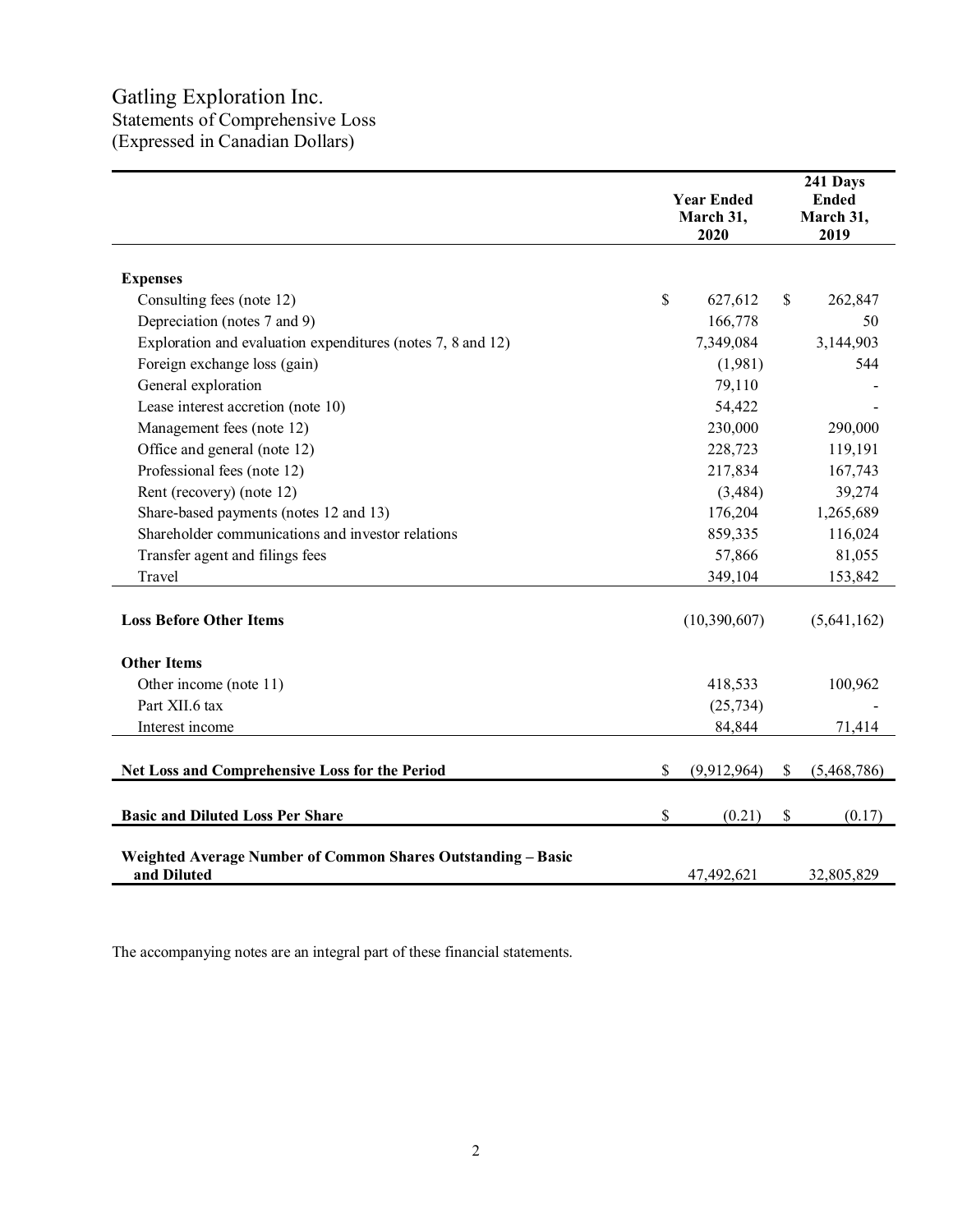# Gatling Exploration Inc. Statements of Comprehensive Loss (Expressed in Canadian Dollars)

|                                                                             | <b>Year Ended</b> | 241 Days<br><b>Ended</b> |
|-----------------------------------------------------------------------------|-------------------|--------------------------|
|                                                                             | March 31,<br>2020 | March 31,<br>2019        |
|                                                                             |                   |                          |
| <b>Expenses</b>                                                             |                   |                          |
| Consulting fees (note 12)                                                   | \$<br>627,612     | \$<br>262,847            |
| Depreciation (notes 7 and 9)                                                | 166,778           | 50                       |
| Exploration and evaluation expenditures (notes 7, 8 and 12)                 | 7,349,084         | 3,144,903                |
| Foreign exchange loss (gain)                                                | (1,981)           | 544                      |
| General exploration                                                         | 79,110            |                          |
| Lease interest accretion (note 10)                                          | 54,422            |                          |
| Management fees (note 12)                                                   | 230,000           | 290,000                  |
| Office and general (note 12)                                                | 228,723           | 119,191                  |
| Professional fees (note 12)                                                 | 217,834           | 167,743                  |
| Rent (recovery) (note 12)                                                   | (3, 484)          | 39,274                   |
| Share-based payments (notes 12 and 13)                                      | 176,204           | 1,265,689                |
| Shareholder communications and investor relations                           | 859,335           | 116,024                  |
| Transfer agent and filings fees                                             | 57,866            | 81,055                   |
| Travel                                                                      | 349,104           | 153,842                  |
|                                                                             |                   |                          |
| <b>Loss Before Other Items</b>                                              | (10,390,607)      | (5,641,162)              |
| <b>Other Items</b>                                                          |                   |                          |
| Other income (note 11)                                                      | 418,533           | 100,962                  |
| Part XII.6 tax                                                              | (25, 734)         |                          |
| Interest income                                                             | 84,844            | 71,414                   |
|                                                                             |                   |                          |
| Net Loss and Comprehensive Loss for the Period                              | \$<br>(9,912,964) | \$<br>(5,468,786)        |
|                                                                             |                   |                          |
| <b>Basic and Diluted Loss Per Share</b>                                     | \$<br>(0.21)      | \$<br>(0.17)             |
|                                                                             |                   |                          |
| Weighted Average Number of Common Shares Outstanding - Basic<br>and Diluted | 47,492,621        | 32,805,829               |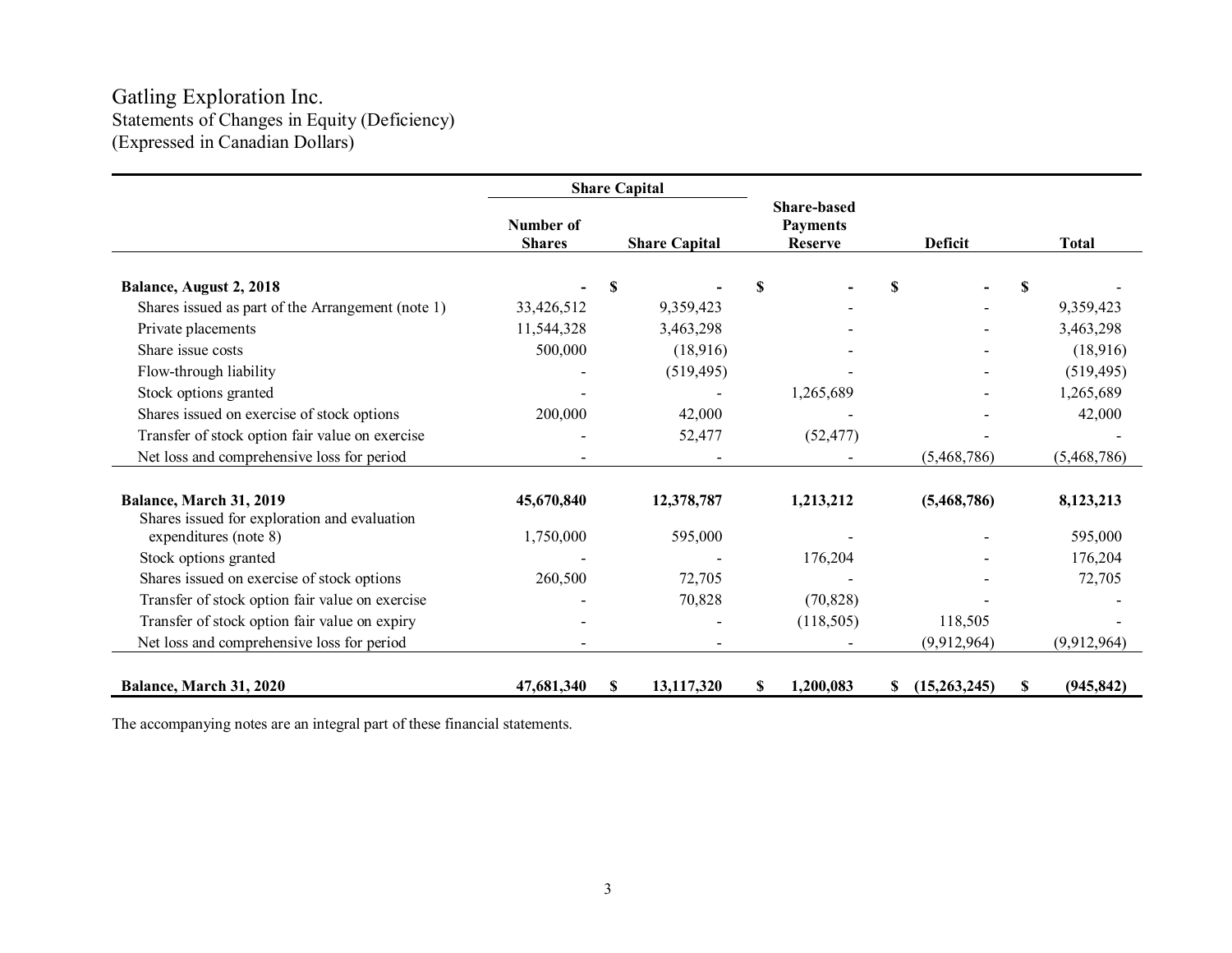## Gatling Exploration Inc. Statements of Changes in Equity (Deficiency) (Expressed in Canadian Dollars)

|                                                                                                  | <b>Share Capital</b>       |                       |                                                         |                    |                      |
|--------------------------------------------------------------------------------------------------|----------------------------|-----------------------|---------------------------------------------------------|--------------------|----------------------|
|                                                                                                  | Number of<br><b>Shares</b> | <b>Share Capital</b>  | <b>Share-based</b><br><b>Payments</b><br><b>Reserve</b> | <b>Deficit</b>     | <b>Total</b>         |
| Balance, August 2, 2018                                                                          |                            | S                     | \$.                                                     | S                  | S                    |
| Shares issued as part of the Arrangement (note 1)                                                | 33,426,512                 | 9,359,423             |                                                         |                    | 9,359,423            |
| Private placements                                                                               | 11,544,328                 | 3,463,298             |                                                         |                    | 3,463,298            |
| Share issue costs                                                                                | 500,000                    | (18,916)              |                                                         |                    | (18,916)             |
| Flow-through liability                                                                           |                            | (519, 495)            |                                                         |                    | (519, 495)           |
| Stock options granted                                                                            |                            |                       | 1,265,689                                               |                    | 1,265,689            |
| Shares issued on exercise of stock options                                                       | 200,000                    | 42,000                |                                                         |                    | 42,000               |
| Transfer of stock option fair value on exercise                                                  |                            | 52,477                | (52, 477)                                               |                    |                      |
| Net loss and comprehensive loss for period                                                       |                            |                       |                                                         | (5,468,786)        | (5,468,786)          |
| Balance, March 31, 2019<br>Shares issued for exploration and evaluation<br>expenditures (note 8) | 45,670,840<br>1,750,000    | 12,378,787<br>595,000 | 1,213,212                                               | (5,468,786)        | 8,123,213<br>595,000 |
| Stock options granted                                                                            |                            |                       | 176,204                                                 |                    | 176,204              |
| Shares issued on exercise of stock options                                                       | 260,500                    | 72,705                |                                                         |                    | 72,705               |
| Transfer of stock option fair value on exercise                                                  |                            | 70,828                | (70, 828)                                               |                    |                      |
| Transfer of stock option fair value on expiry                                                    |                            |                       | (118,505)                                               | 118,505            |                      |
| Net loss and comprehensive loss for period                                                       |                            |                       |                                                         | (9,912,964)        | (9,912,964)          |
| Balance, March 31, 2020                                                                          | 47,681,340                 | 13,117,320<br>S       | 1,200,083                                               | (15,263,245)<br>S. | (945, 842)<br>S      |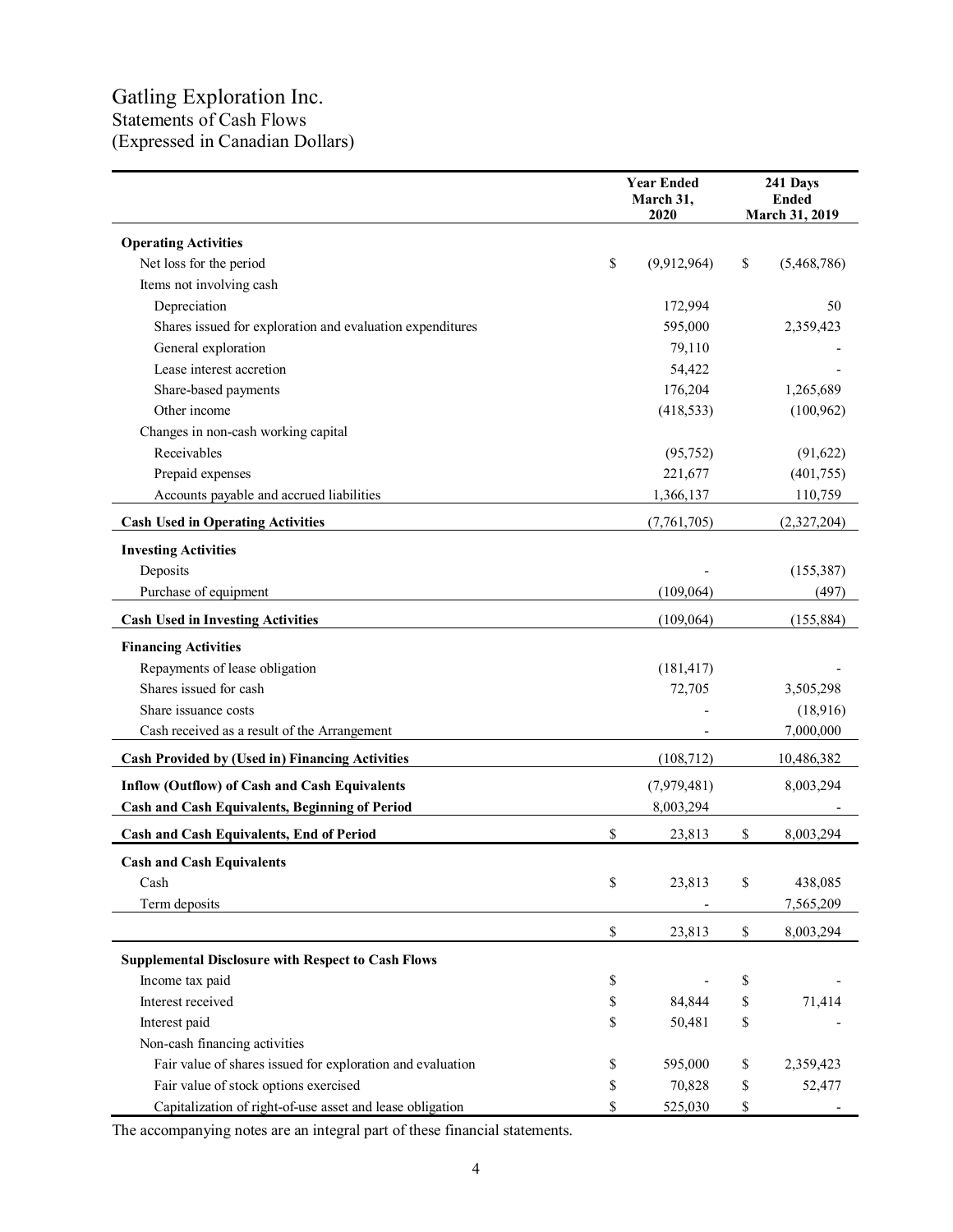# Gatling Exploration Inc. Statements of Cash Flows (Expressed in Canadian Dollars)

|                                                            | <b>Year Ended</b><br>March 31,<br>2020 | 241 Days<br><b>Ended</b><br>March 31, 2019 |             |
|------------------------------------------------------------|----------------------------------------|--------------------------------------------|-------------|
| <b>Operating Activities</b>                                |                                        |                                            |             |
| Net loss for the period                                    | \$<br>(9,912,964)                      | \$                                         | (5,468,786) |
| Items not involving cash                                   |                                        |                                            |             |
| Depreciation                                               | 172,994                                |                                            | 50          |
| Shares issued for exploration and evaluation expenditures  | 595,000                                |                                            | 2,359,423   |
| General exploration                                        | 79,110                                 |                                            |             |
| Lease interest accretion                                   | 54,422                                 |                                            |             |
| Share-based payments                                       | 176,204                                |                                            | 1,265,689   |
| Other income                                               | (418, 533)                             |                                            | (100, 962)  |
| Changes in non-cash working capital                        |                                        |                                            |             |
| Receivables                                                | (95, 752)                              |                                            | (91,622)    |
| Prepaid expenses                                           | 221,677                                |                                            | (401,755)   |
| Accounts payable and accrued liabilities                   | 1,366,137                              |                                            | 110,759     |
| <b>Cash Used in Operating Activities</b>                   | (7,761,705)                            |                                            | (2,327,204) |
| <b>Investing Activities</b>                                |                                        |                                            |             |
| Deposits                                                   |                                        |                                            | (155, 387)  |
| Purchase of equipment                                      | (109,064)                              |                                            | (497)       |
| <b>Cash Used in Investing Activities</b>                   | (109, 064)                             |                                            | (155, 884)  |
| <b>Financing Activities</b>                                |                                        |                                            |             |
| Repayments of lease obligation                             | (181, 417)                             |                                            |             |
| Shares issued for cash                                     | 72,705                                 |                                            | 3,505,298   |
| Share issuance costs                                       |                                        |                                            | (18,916)    |
| Cash received as a result of the Arrangement               |                                        |                                            | 7,000,000   |
| <b>Cash Provided by (Used in) Financing Activities</b>     | (108, 712)                             |                                            | 10,486,382  |
| <b>Inflow (Outflow) of Cash and Cash Equivalents</b>       | (7,979,481)                            |                                            | 8,003,294   |
| <b>Cash and Cash Equivalents, Beginning of Period</b>      | 8,003,294                              |                                            |             |
| <b>Cash and Cash Equivalents, End of Period</b>            | \$<br>23,813                           | \$                                         | 8,003,294   |
| <b>Cash and Cash Equivalents</b>                           |                                        |                                            |             |
| Cash                                                       | \$<br>23,813                           | \$                                         | 438,085     |
| Term deposits                                              |                                        |                                            | 7,565,209   |
|                                                            | \$<br>23,813                           | $\mathbb{S}$                               | 8,003,294   |
| <b>Supplemental Disclosure with Respect to Cash Flows</b>  |                                        |                                            |             |
| Income tax paid                                            | \$                                     | \$                                         |             |
| Interest received                                          | \$<br>84,844                           | \$                                         | 71,414      |
| Interest paid                                              | \$<br>50,481                           | \$                                         |             |
| Non-cash financing activities                              |                                        |                                            |             |
| Fair value of shares issued for exploration and evaluation | \$<br>595,000                          | \$                                         | 2,359,423   |
| Fair value of stock options exercised                      | \$<br>70,828                           | \$                                         | 52,477      |
| Capitalization of right-of-use asset and lease obligation  | \$<br>525,030                          | \$                                         |             |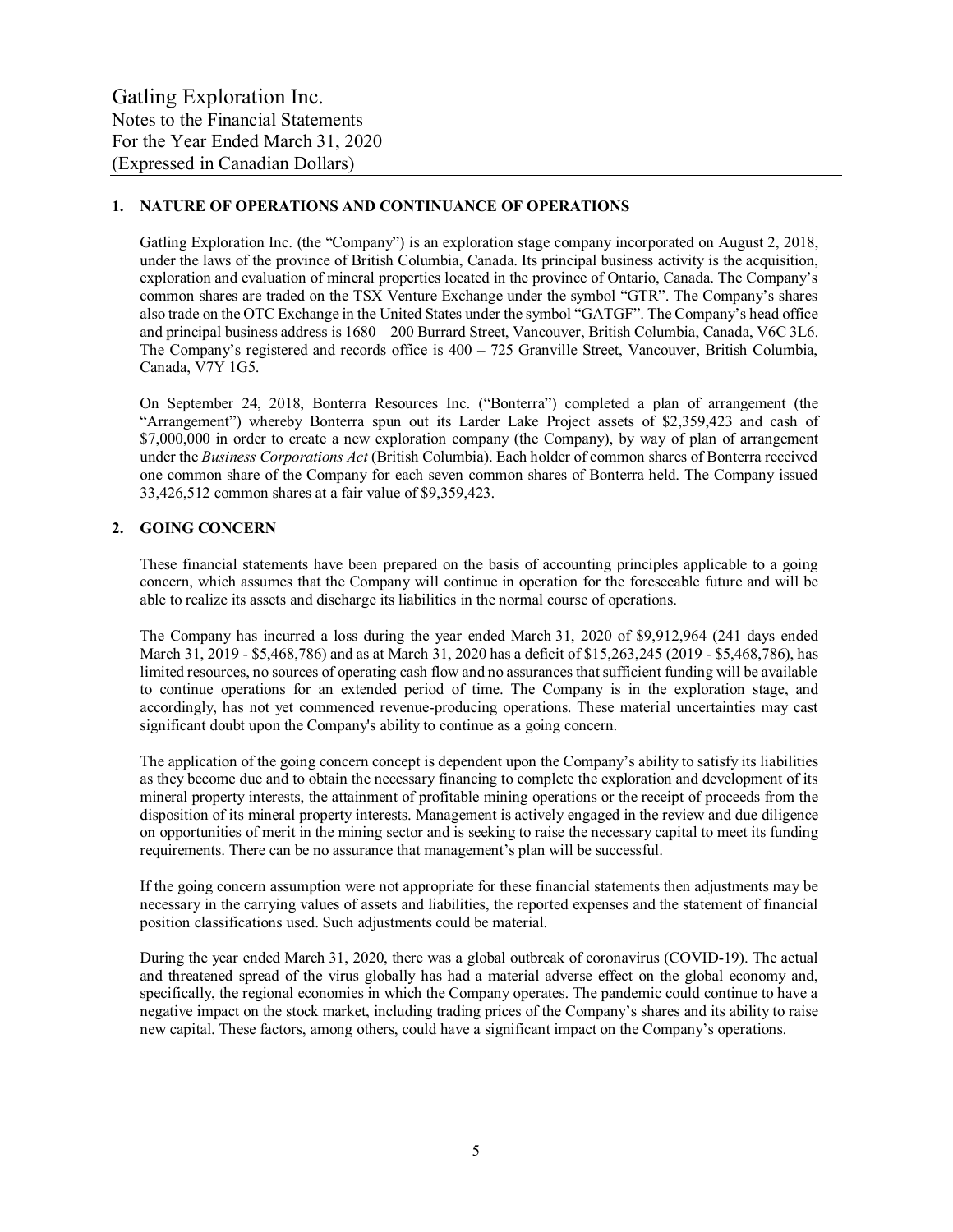## **1. NATURE OF OPERATIONS AND CONTINUANCE OF OPERATIONS**

Gatling Exploration Inc. (the "Company") is an exploration stage company incorporated on August 2, 2018, under the laws of the province of British Columbia, Canada. Its principal business activity is the acquisition, exploration and evaluation of mineral properties located in the province of Ontario, Canada. The Company's common shares are traded on the TSX Venture Exchange under the symbol "GTR". The Company's shares also trade on the OTC Exchange in the United States under the symbol "GATGF". The Company's head office and principal business address is 1680 – 200 Burrard Street, Vancouver, British Columbia, Canada, V6C 3L6. The Company's registered and records office is 400 – 725 Granville Street, Vancouver, British Columbia, Canada, V7Y 1G5.

On September 24, 2018, Bonterra Resources Inc. ("Bonterra") completed a plan of arrangement (the "Arrangement") whereby Bonterra spun out its Larder Lake Project assets of \$2,359,423 and cash of \$7,000,000 in order to create a new exploration company (the Company), by way of plan of arrangement under the *Business Corporations Act* (British Columbia). Each holder of common shares of Bonterra received one common share of the Company for each seven common shares of Bonterra held. The Company issued 33,426,512 common shares at a fair value of \$9,359,423.

## **2. GOING CONCERN**

These financial statements have been prepared on the basis of accounting principles applicable to a going concern, which assumes that the Company will continue in operation for the foreseeable future and will be able to realize its assets and discharge its liabilities in the normal course of operations.

The Company has incurred a loss during the year ended March 31, 2020 of \$9,912,964 (241 days ended March 31, 2019 - \$5,468,786) and as at March 31, 2020 has a deficit of \$15,263,245 (2019 - \$5,468,786), has limited resources, no sources of operating cash flow and no assurances that sufficient funding will be available to continue operations for an extended period of time. The Company is in the exploration stage, and accordingly, has not yet commenced revenue-producing operations. These material uncertainties may cast significant doubt upon the Company's ability to continue as a going concern.

The application of the going concern concept is dependent upon the Company's ability to satisfy its liabilities as they become due and to obtain the necessary financing to complete the exploration and development of its mineral property interests, the attainment of profitable mining operations or the receipt of proceeds from the disposition of its mineral property interests. Management is actively engaged in the review and due diligence on opportunities of merit in the mining sector and is seeking to raise the necessary capital to meet its funding requirements. There can be no assurance that management's plan will be successful.

If the going concern assumption were not appropriate for these financial statements then adjustments may be necessary in the carrying values of assets and liabilities, the reported expenses and the statement of financial position classifications used. Such adjustments could be material.

During the year ended March 31, 2020, there was a global outbreak of coronavirus (COVID-19). The actual and threatened spread of the virus globally has had a material adverse effect on the global economy and, specifically, the regional economies in which the Company operates. The pandemic could continue to have a negative impact on the stock market, including trading prices of the Company's shares and its ability to raise new capital. These factors, among others, could have a significant impact on the Company's operations.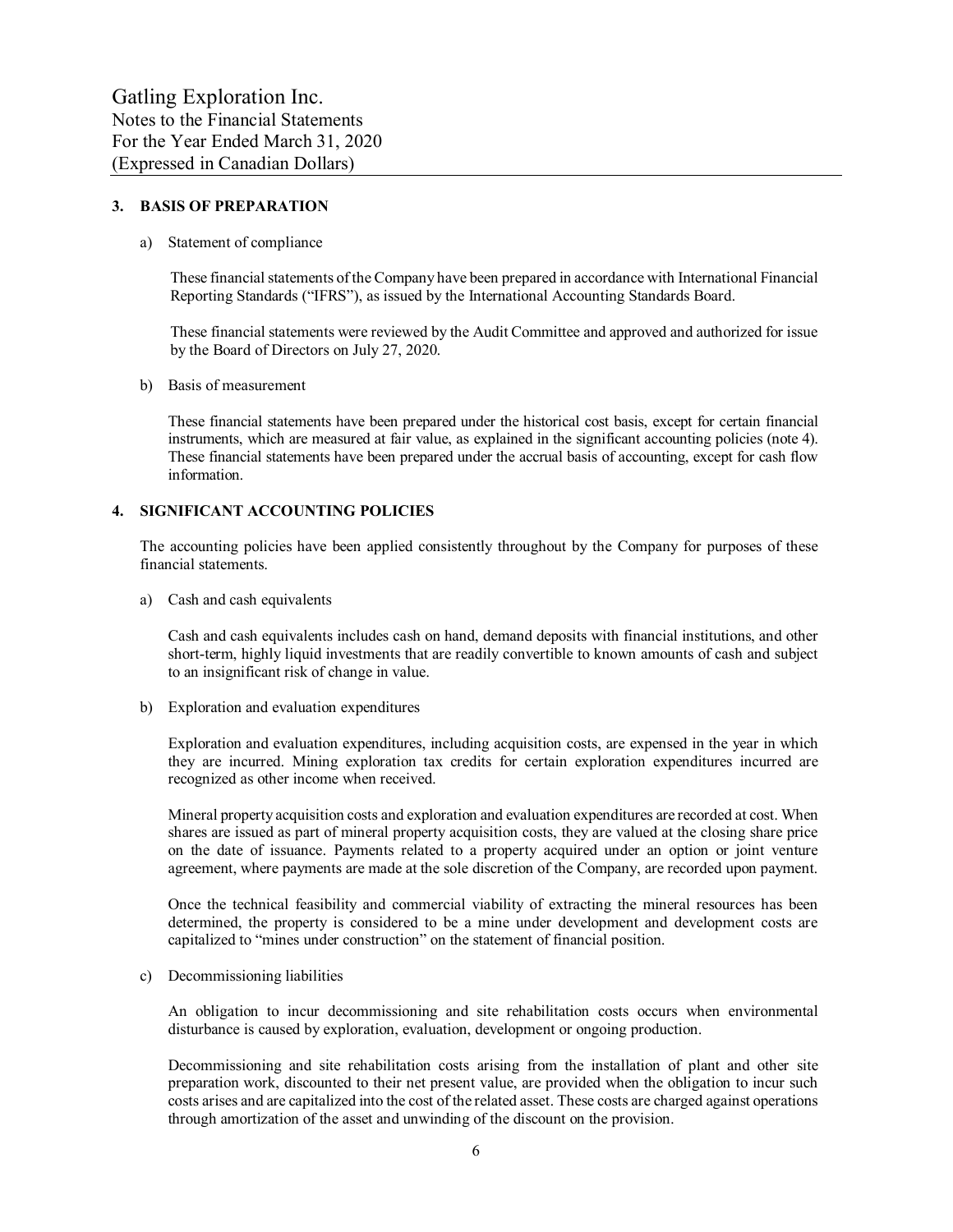## **3. BASIS OF PREPARATION**

#### a) Statement of compliance

These financial statements of the Company have been prepared in accordance with International Financial Reporting Standards ("IFRS"), as issued by the International Accounting Standards Board.

These financial statements were reviewed by the Audit Committee and approved and authorized for issue by the Board of Directors on July 27, 2020.

b) Basis of measurement

These financial statements have been prepared under the historical cost basis, except for certain financial instruments, which are measured at fair value, as explained in the significant accounting policies (note 4). These financial statements have been prepared under the accrual basis of accounting, except for cash flow information.

## **4. SIGNIFICANT ACCOUNTING POLICIES**

The accounting policies have been applied consistently throughout by the Company for purposes of these financial statements.

a) Cash and cash equivalents

Cash and cash equivalents includes cash on hand, demand deposits with financial institutions, and other short-term, highly liquid investments that are readily convertible to known amounts of cash and subject to an insignificant risk of change in value.

b) Exploration and evaluation expenditures

Exploration and evaluation expenditures, including acquisition costs, are expensed in the year in which they are incurred. Mining exploration tax credits for certain exploration expenditures incurred are recognized as other income when received.

Mineral property acquisition costs and exploration and evaluation expenditures are recorded at cost. When shares are issued as part of mineral property acquisition costs, they are valued at the closing share price on the date of issuance. Payments related to a property acquired under an option or joint venture agreement, where payments are made at the sole discretion of the Company, are recorded upon payment.

Once the technical feasibility and commercial viability of extracting the mineral resources has been determined, the property is considered to be a mine under development and development costs are capitalized to "mines under construction" on the statement of financial position.

c) Decommissioning liabilities

An obligation to incur decommissioning and site rehabilitation costs occurs when environmental disturbance is caused by exploration, evaluation, development or ongoing production.

Decommissioning and site rehabilitation costs arising from the installation of plant and other site preparation work, discounted to their net present value, are provided when the obligation to incur such costs arises and are capitalized into the cost of the related asset. These costs are charged against operations through amortization of the asset and unwinding of the discount on the provision.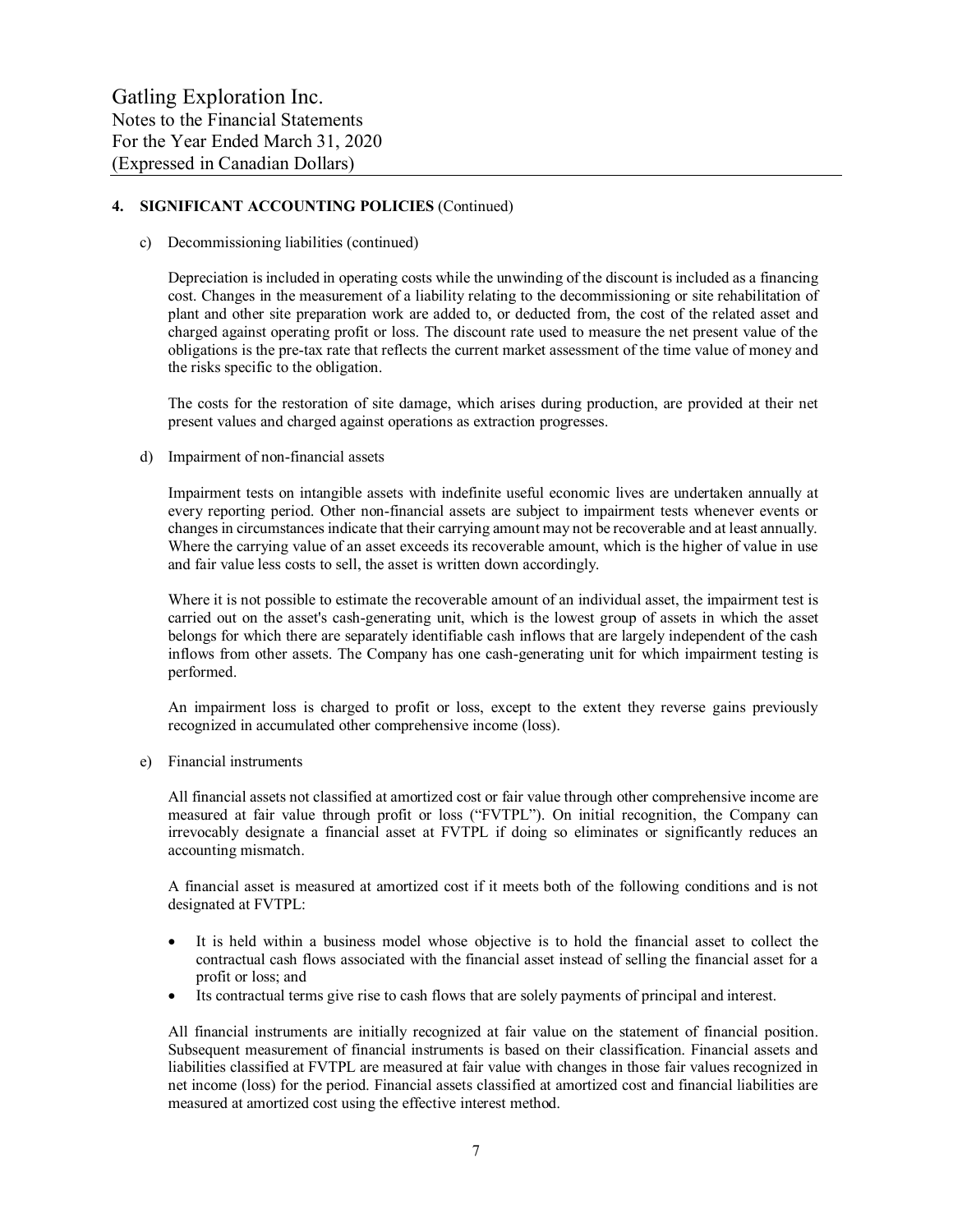#### c) Decommissioning liabilities (continued)

Depreciation is included in operating costs while the unwinding of the discount is included as a financing cost. Changes in the measurement of a liability relating to the decommissioning or site rehabilitation of plant and other site preparation work are added to, or deducted from, the cost of the related asset and charged against operating profit or loss. The discount rate used to measure the net present value of the obligations is the pre-tax rate that reflects the current market assessment of the time value of money and the risks specific to the obligation.

The costs for the restoration of site damage, which arises during production, are provided at their net present values and charged against operations as extraction progresses.

d) Impairment of non-financial assets

Impairment tests on intangible assets with indefinite useful economic lives are undertaken annually at every reporting period. Other non-financial assets are subject to impairment tests whenever events or changes in circumstances indicate that their carrying amount may not be recoverable and at least annually. Where the carrying value of an asset exceeds its recoverable amount, which is the higher of value in use and fair value less costs to sell, the asset is written down accordingly.

Where it is not possible to estimate the recoverable amount of an individual asset, the impairment test is carried out on the asset's cash-generating unit, which is the lowest group of assets in which the asset belongs for which there are separately identifiable cash inflows that are largely independent of the cash inflows from other assets. The Company has one cash-generating unit for which impairment testing is performed.

An impairment loss is charged to profit or loss, except to the extent they reverse gains previously recognized in accumulated other comprehensive income (loss).

e) Financial instruments

All financial assets not classified at amortized cost or fair value through other comprehensive income are measured at fair value through profit or loss ("FVTPL"). On initial recognition, the Company can irrevocably designate a financial asset at FVTPL if doing so eliminates or significantly reduces an accounting mismatch.

A financial asset is measured at amortized cost if it meets both of the following conditions and is not designated at FVTPL:

- · It is held within a business model whose objective is to hold the financial asset to collect the contractual cash flows associated with the financial asset instead of selling the financial asset for a profit or loss; and
- Its contractual terms give rise to cash flows that are solely payments of principal and interest.

All financial instruments are initially recognized at fair value on the statement of financial position. Subsequent measurement of financial instruments is based on their classification. Financial assets and liabilities classified at FVTPL are measured at fair value with changes in those fair values recognized in net income (loss) for the period. Financial assets classified at amortized cost and financial liabilities are measured at amortized cost using the effective interest method.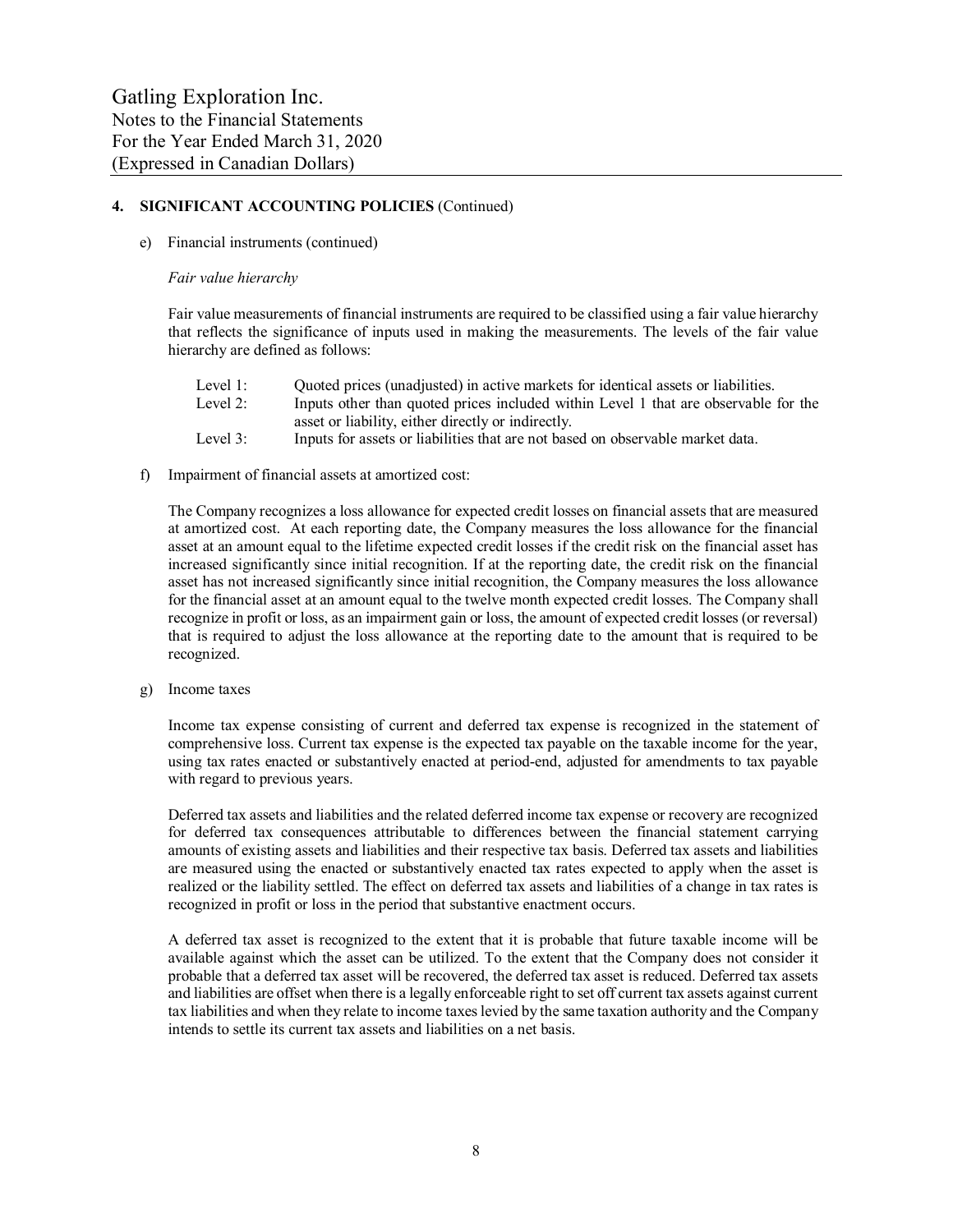## e) Financial instruments (continued)

#### *Fair value hierarchy*

Fair value measurements of financial instruments are required to be classified using a fair value hierarchy that reflects the significance of inputs used in making the measurements. The levels of the fair value hierarchy are defined as follows:

| Level 1: | Quoted prices (unadjusted) in active markets for identical assets or liabilities.   |
|----------|-------------------------------------------------------------------------------------|
| Level 2: | Inputs other than quoted prices included within Level 1 that are observable for the |
|          | asset or liability, either directly or indirectly.                                  |
| Level 3: | Inputs for assets or liabilities that are not based on observable market data.      |
|          |                                                                                     |

f) Impairment of financial assets at amortized cost:

The Company recognizes a loss allowance for expected credit losses on financial assets that are measured at amortized cost. At each reporting date, the Company measures the loss allowance for the financial asset at an amount equal to the lifetime expected credit losses if the credit risk on the financial asset has increased significantly since initial recognition. If at the reporting date, the credit risk on the financial asset has not increased significantly since initial recognition, the Company measures the loss allowance for the financial asset at an amount equal to the twelve month expected credit losses. The Company shall recognize in profit or loss, as an impairment gain or loss, the amount of expected credit losses (or reversal) that is required to adjust the loss allowance at the reporting date to the amount that is required to be recognized.

g) Income taxes

Income tax expense consisting of current and deferred tax expense is recognized in the statement of comprehensive loss. Current tax expense is the expected tax payable on the taxable income for the year, using tax rates enacted or substantively enacted at period-end, adjusted for amendments to tax payable with regard to previous years.

Deferred tax assets and liabilities and the related deferred income tax expense or recovery are recognized for deferred tax consequences attributable to differences between the financial statement carrying amounts of existing assets and liabilities and their respective tax basis. Deferred tax assets and liabilities are measured using the enacted or substantively enacted tax rates expected to apply when the asset is realized or the liability settled. The effect on deferred tax assets and liabilities of a change in tax rates is recognized in profit or loss in the period that substantive enactment occurs.

A deferred tax asset is recognized to the extent that it is probable that future taxable income will be available against which the asset can be utilized. To the extent that the Company does not consider it probable that a deferred tax asset will be recovered, the deferred tax asset is reduced. Deferred tax assets and liabilities are offset when there is a legally enforceable right to set off current tax assets against current tax liabilities and when they relate to income taxes levied by the same taxation authority and the Company intends to settle its current tax assets and liabilities on a net basis.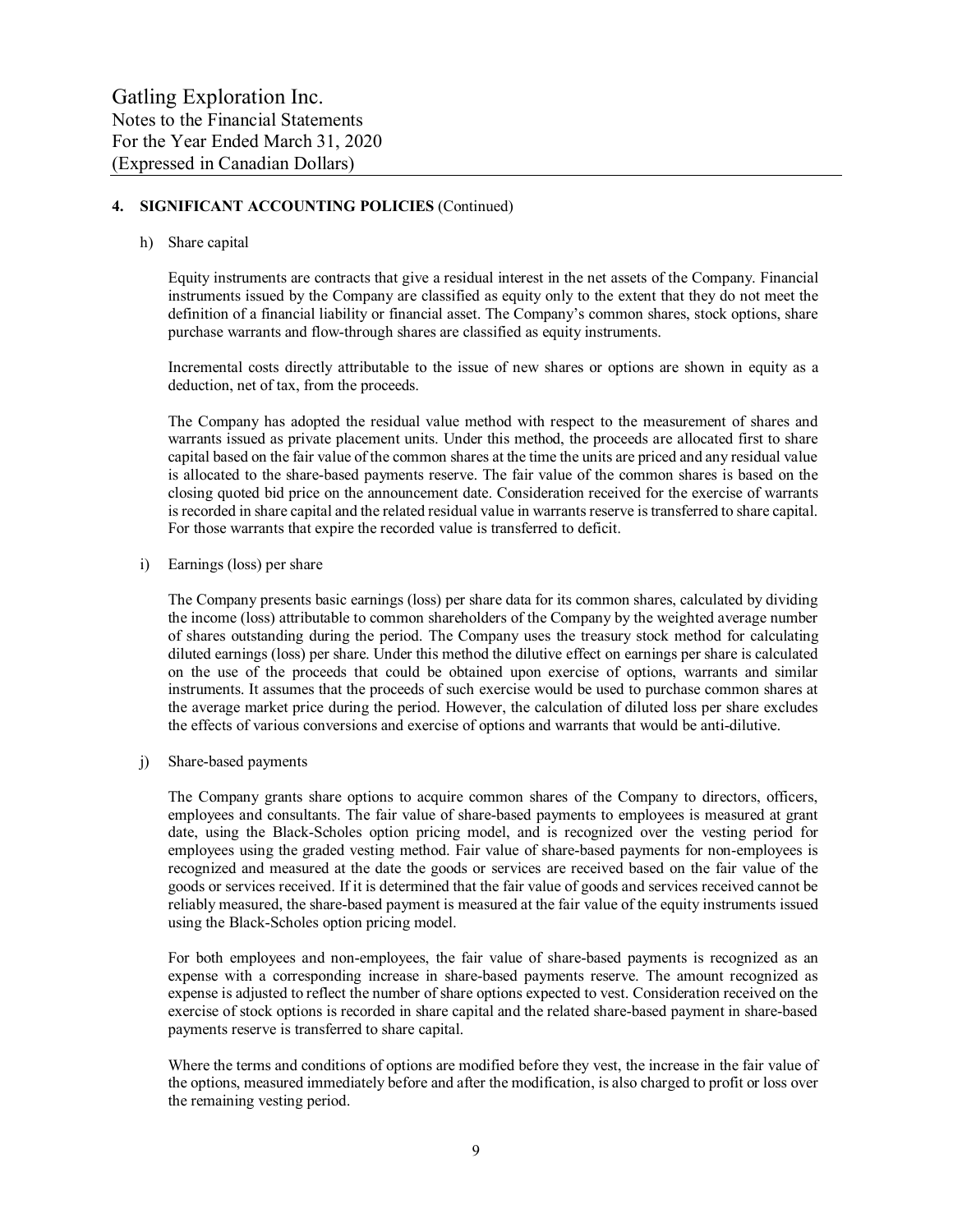#### h) Share capital

Equity instruments are contracts that give a residual interest in the net assets of the Company. Financial instruments issued by the Company are classified as equity only to the extent that they do not meet the definition of a financial liability or financial asset. The Company's common shares, stock options, share purchase warrants and flow-through shares are classified as equity instruments.

Incremental costs directly attributable to the issue of new shares or options are shown in equity as a deduction, net of tax, from the proceeds.

The Company has adopted the residual value method with respect to the measurement of shares and warrants issued as private placement units. Under this method, the proceeds are allocated first to share capital based on the fair value of the common shares at the time the units are priced and any residual value is allocated to the share-based payments reserve. The fair value of the common shares is based on the closing quoted bid price on the announcement date. Consideration received for the exercise of warrants is recorded in share capital and the related residual value in warrants reserve is transferred to share capital. For those warrants that expire the recorded value is transferred to deficit.

## i) Earnings (loss) per share

The Company presents basic earnings (loss) per share data for its common shares, calculated by dividing the income (loss) attributable to common shareholders of the Company by the weighted average number of shares outstanding during the period. The Company uses the treasury stock method for calculating diluted earnings (loss) per share. Under this method the dilutive effect on earnings per share is calculated on the use of the proceeds that could be obtained upon exercise of options, warrants and similar instruments. It assumes that the proceeds of such exercise would be used to purchase common shares at the average market price during the period. However, the calculation of diluted loss per share excludes the effects of various conversions and exercise of options and warrants that would be anti-dilutive.

## j) Share-based payments

The Company grants share options to acquire common shares of the Company to directors, officers, employees and consultants. The fair value of share-based payments to employees is measured at grant date, using the Black-Scholes option pricing model, and is recognized over the vesting period for employees using the graded vesting method. Fair value of share-based payments for non-employees is recognized and measured at the date the goods or services are received based on the fair value of the goods or services received. If it is determined that the fair value of goods and services received cannot be reliably measured, the share-based payment is measured at the fair value of the equity instruments issued using the Black-Scholes option pricing model.

For both employees and non-employees, the fair value of share-based payments is recognized as an expense with a corresponding increase in share-based payments reserve. The amount recognized as expense is adjusted to reflect the number of share options expected to vest. Consideration received on the exercise of stock options is recorded in share capital and the related share-based payment in share-based payments reserve is transferred to share capital.

Where the terms and conditions of options are modified before they vest, the increase in the fair value of the options, measured immediately before and after the modification, is also charged to profit or loss over the remaining vesting period.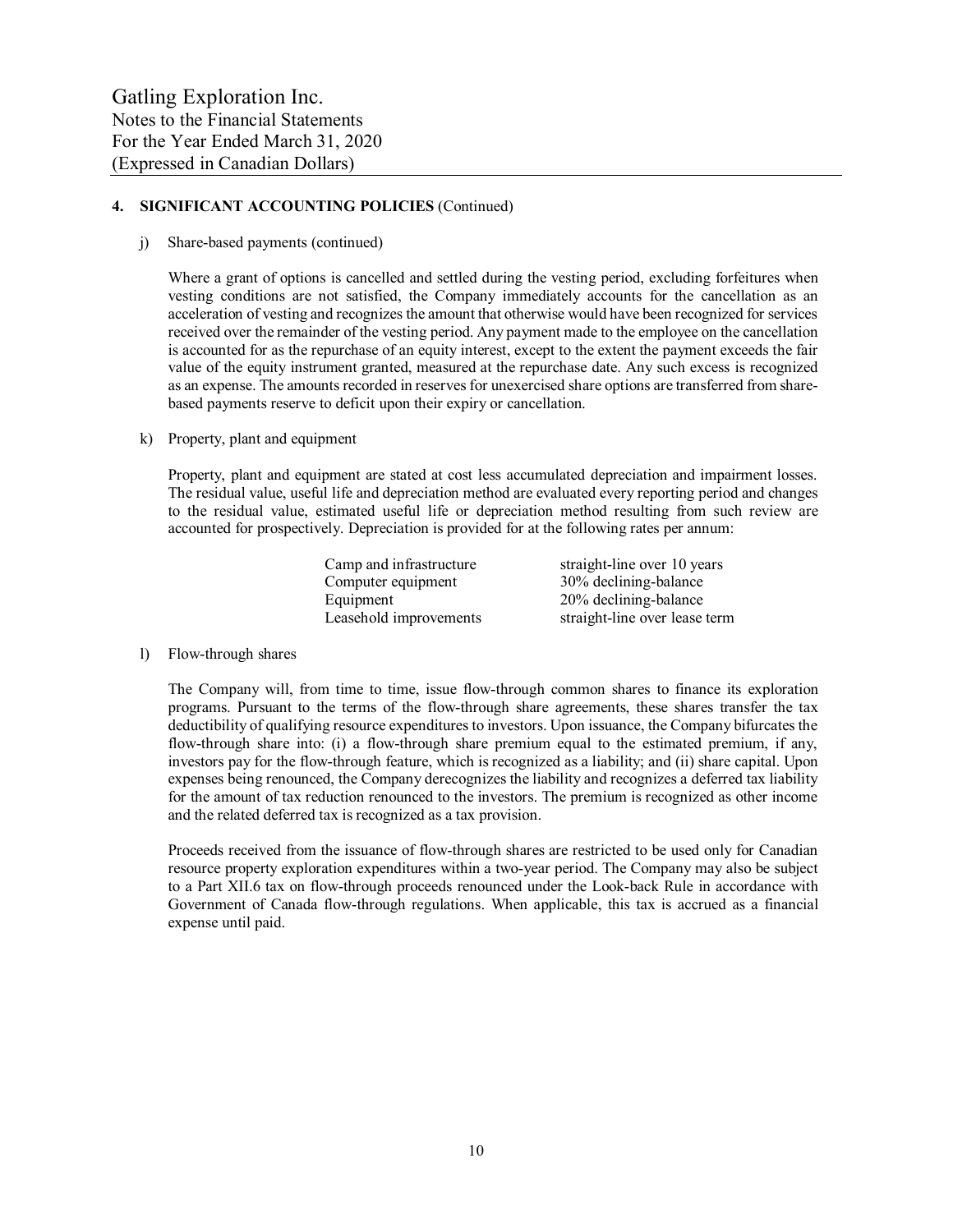j) Share-based payments (continued)

Where a grant of options is cancelled and settled during the vesting period, excluding forfeitures when vesting conditions are not satisfied, the Company immediately accounts for the cancellation as an acceleration of vesting and recognizes the amount that otherwise would have been recognized for services received over the remainder of the vesting period. Any payment made to the employee on the cancellation is accounted for as the repurchase of an equity interest, except to the extent the payment exceeds the fair value of the equity instrument granted, measured at the repurchase date. Any such excess is recognized as an expense. The amounts recorded in reserves for unexercised share options are transferred from sharebased payments reserve to deficit upon their expiry or cancellation.

k) Property, plant and equipment

Property, plant and equipment are stated at cost less accumulated depreciation and impairment losses. The residual value, useful life and depreciation method are evaluated every reporting period and changes to the residual value, estimated useful life or depreciation method resulting from such review are accounted for prospectively. Depreciation is provided for at the following rates per annum:

> Computer equipment 30% declining-balance Equipment 20% declining-balance

Camp and infrastructure straight-line over 10 years Leasehold improvements straight-line over lease term

l) Flow-through shares

The Company will, from time to time, issue flow-through common shares to finance its exploration programs. Pursuant to the terms of the flow-through share agreements, these shares transfer the tax deductibility of qualifying resource expenditures to investors. Upon issuance, the Company bifurcates the flow-through share into: (i) a flow-through share premium equal to the estimated premium, if any, investors pay for the flow-through feature, which is recognized as a liability; and (ii) share capital. Upon expenses being renounced, the Company derecognizes the liability and recognizes a deferred tax liability for the amount of tax reduction renounced to the investors. The premium is recognized as other income and the related deferred tax is recognized as a tax provision.

Proceeds received from the issuance of flow-through shares are restricted to be used only for Canadian resource property exploration expenditures within a two-year period. The Company may also be subject to a Part XII.6 tax on flow-through proceeds renounced under the Look-back Rule in accordance with Government of Canada flow-through regulations. When applicable, this tax is accrued as a financial expense until paid.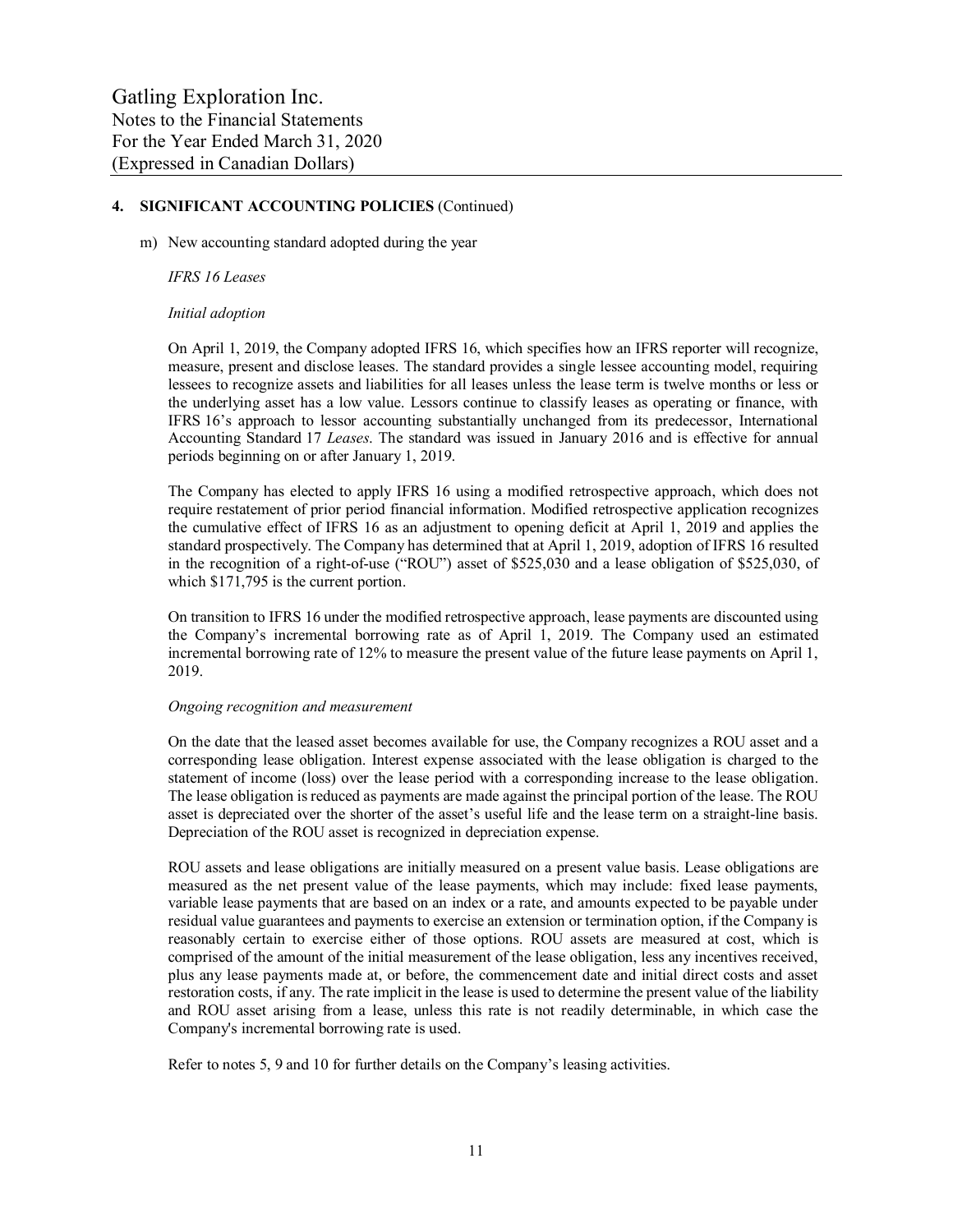#### m) New accounting standard adopted during the year

#### *IFRS 16 Leases*

#### *Initial adoption*

On April 1, 2019, the Company adopted IFRS 16, which specifies how an IFRS reporter will recognize, measure, present and disclose leases. The standard provides a single lessee accounting model, requiring lessees to recognize assets and liabilities for all leases unless the lease term is twelve months or less or the underlying asset has a low value. Lessors continue to classify leases as operating or finance, with IFRS 16's approach to lessor accounting substantially unchanged from its predecessor, International Accounting Standard 17 *Leases*. The standard was issued in January 2016 and is effective for annual periods beginning on or after January 1, 2019.

The Company has elected to apply IFRS 16 using a modified retrospective approach, which does not require restatement of prior period financial information. Modified retrospective application recognizes the cumulative effect of IFRS 16 as an adjustment to opening deficit at April 1, 2019 and applies the standard prospectively. The Company has determined that at April 1, 2019, adoption of IFRS 16 resulted in the recognition of a right-of-use ("ROU") asset of \$525,030 and a lease obligation of \$525,030, of which \$171,795 is the current portion.

On transition to IFRS 16 under the modified retrospective approach, lease payments are discounted using the Company's incremental borrowing rate as of April 1, 2019. The Company used an estimated incremental borrowing rate of 12% to measure the present value of the future lease payments on April 1, 2019.

#### *Ongoing recognition and measurement*

On the date that the leased asset becomes available for use, the Company recognizes a ROU asset and a corresponding lease obligation. Interest expense associated with the lease obligation is charged to the statement of income (loss) over the lease period with a corresponding increase to the lease obligation. The lease obligation is reduced as payments are made against the principal portion of the lease. The ROU asset is depreciated over the shorter of the asset's useful life and the lease term on a straight-line basis. Depreciation of the ROU asset is recognized in depreciation expense.

ROU assets and lease obligations are initially measured on a present value basis. Lease obligations are measured as the net present value of the lease payments, which may include: fixed lease payments, variable lease payments that are based on an index or a rate, and amounts expected to be payable under residual value guarantees and payments to exercise an extension or termination option, if the Company is reasonably certain to exercise either of those options. ROU assets are measured at cost, which is comprised of the amount of the initial measurement of the lease obligation, less any incentives received, plus any lease payments made at, or before, the commencement date and initial direct costs and asset restoration costs, if any. The rate implicit in the lease is used to determine the present value of the liability and ROU asset arising from a lease, unless this rate is not readily determinable, in which case the Company's incremental borrowing rate is used.

Refer to notes 5, 9 and 10 for further details on the Company's leasing activities.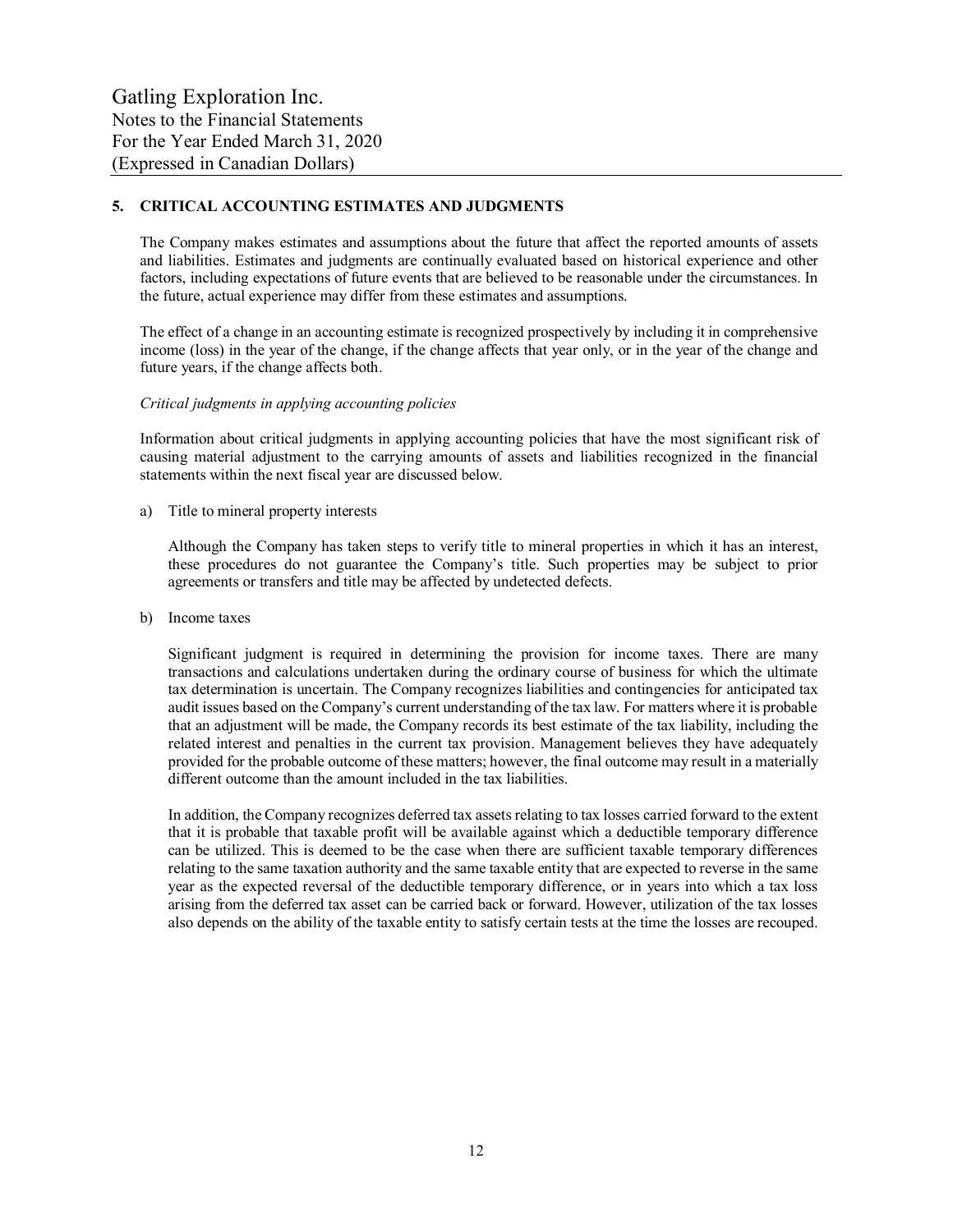## **5. CRITICAL ACCOUNTING ESTIMATES AND JUDGMENTS**

The Company makes estimates and assumptions about the future that affect the reported amounts of assets and liabilities. Estimates and judgments are continually evaluated based on historical experience and other factors, including expectations of future events that are believed to be reasonable under the circumstances. In the future, actual experience may differ from these estimates and assumptions.

The effect of a change in an accounting estimate is recognized prospectively by including it in comprehensive income (loss) in the year of the change, if the change affects that year only, or in the year of the change and future years, if the change affects both.

#### *Critical judgments in applying accounting policies*

Information about critical judgments in applying accounting policies that have the most significant risk of causing material adjustment to the carrying amounts of assets and liabilities recognized in the financial statements within the next fiscal year are discussed below.

a) Title to mineral property interests

Although the Company has taken steps to verify title to mineral properties in which it has an interest, these procedures do not guarantee the Company's title. Such properties may be subject to prior agreements or transfers and title may be affected by undetected defects.

b) Income taxes

Significant judgment is required in determining the provision for income taxes. There are many transactions and calculations undertaken during the ordinary course of business for which the ultimate tax determination is uncertain. The Company recognizes liabilities and contingencies for anticipated tax audit issues based on the Company's current understanding of the tax law. For matters where it is probable that an adjustment will be made, the Company records its best estimate of the tax liability, including the related interest and penalties in the current tax provision. Management believes they have adequately provided for the probable outcome of these matters; however, the final outcome may result in a materially different outcome than the amount included in the tax liabilities.

In addition, the Company recognizes deferred tax assets relating to tax losses carried forward to the extent that it is probable that taxable profit will be available against which a deductible temporary difference can be utilized. This is deemed to be the case when there are sufficient taxable temporary differences relating to the same taxation authority and the same taxable entity that are expected to reverse in the same year as the expected reversal of the deductible temporary difference, or in years into which a tax loss arising from the deferred tax asset can be carried back or forward. However, utilization of the tax losses also depends on the ability of the taxable entity to satisfy certain tests at the time the losses are recouped.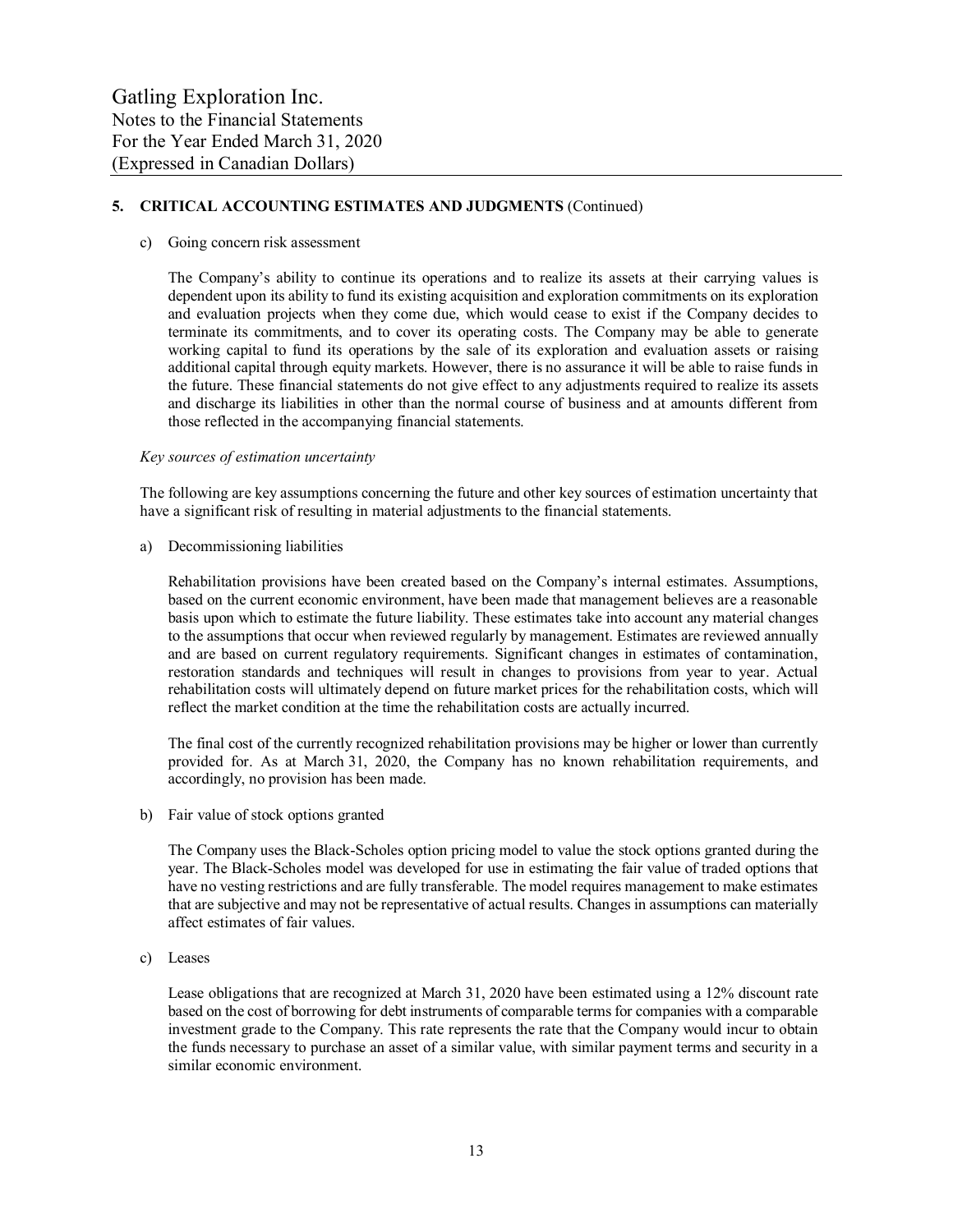## **5. CRITICAL ACCOUNTING ESTIMATES AND JUDGMENTS** (Continued)

#### c) Going concern risk assessment

The Company's ability to continue its operations and to realize its assets at their carrying values is dependent upon its ability to fund its existing acquisition and exploration commitments on its exploration and evaluation projects when they come due, which would cease to exist if the Company decides to terminate its commitments, and to cover its operating costs. The Company may be able to generate working capital to fund its operations by the sale of its exploration and evaluation assets or raising additional capital through equity markets. However, there is no assurance it will be able to raise funds in the future. These financial statements do not give effect to any adjustments required to realize its assets and discharge its liabilities in other than the normal course of business and at amounts different from those reflected in the accompanying financial statements.

#### *Key sources of estimation uncertainty*

The following are key assumptions concerning the future and other key sources of estimation uncertainty that have a significant risk of resulting in material adjustments to the financial statements.

a) Decommissioning liabilities

Rehabilitation provisions have been created based on the Company's internal estimates. Assumptions, based on the current economic environment, have been made that management believes are a reasonable basis upon which to estimate the future liability. These estimates take into account any material changes to the assumptions that occur when reviewed regularly by management. Estimates are reviewed annually and are based on current regulatory requirements. Significant changes in estimates of contamination, restoration standards and techniques will result in changes to provisions from year to year. Actual rehabilitation costs will ultimately depend on future market prices for the rehabilitation costs, which will reflect the market condition at the time the rehabilitation costs are actually incurred.

The final cost of the currently recognized rehabilitation provisions may be higher or lower than currently provided for. As at March 31, 2020, the Company has no known rehabilitation requirements, and accordingly, no provision has been made.

b) Fair value of stock options granted

The Company uses the Black-Scholes option pricing model to value the stock options granted during the year. The Black-Scholes model was developed for use in estimating the fair value of traded options that have no vesting restrictions and are fully transferable. The model requires management to make estimates that are subjective and may not be representative of actual results. Changes in assumptions can materially affect estimates of fair values.

c) Leases

Lease obligations that are recognized at March 31, 2020 have been estimated using a 12% discount rate based on the cost of borrowing for debt instruments of comparable terms for companies with a comparable investment grade to the Company. This rate represents the rate that the Company would incur to obtain the funds necessary to purchase an asset of a similar value, with similar payment terms and security in a similar economic environment.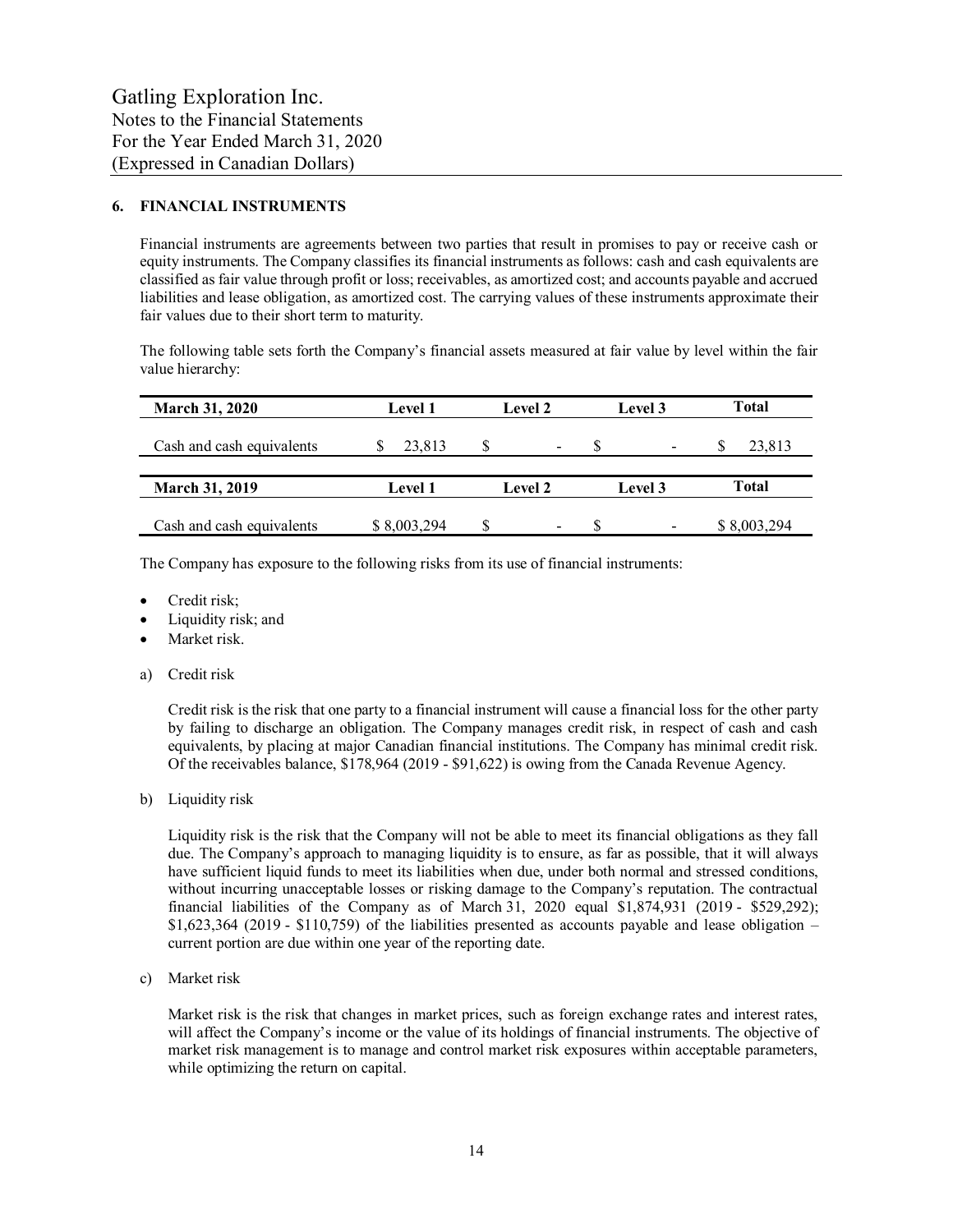## **6. FINANCIAL INSTRUMENTS**

Financial instruments are agreements between two parties that result in promises to pay or receive cash or equity instruments. The Company classifies its financial instruments as follows: cash and cash equivalents are classified as fair value through profit or loss; receivables, as amortized cost; and accounts payable and accrued liabilities and lease obligation, as amortized cost. The carrying values of these instruments approximate their fair values due to their short term to maturity.

The following table sets forth the Company's financial assets measured at fair value by level within the fair value hierarchy:

| <b>March 31, 2020</b>     | <b>Level 1</b> | <b>Level 2</b> | Level 3                  |              |
|---------------------------|----------------|----------------|--------------------------|--------------|
| Cash and cash equivalents | 23,813         | S<br>-         | $\blacksquare$           | 23,813       |
|                           |                |                |                          |              |
| <b>March 31, 2019</b>     | <b>Level 1</b> | <b>Level 2</b> | Level 3                  | Total        |
|                           |                |                |                          |              |
| Cash and cash equivalents | \$8,003,294    | S<br>-         | $\overline{\phantom{a}}$ | \$ 8,003,294 |

The Company has exposure to the following risks from its use of financial instruments:

- Credit risk;
- Liquidity risk; and
- Market risk.
- a) Credit risk

Credit risk is the risk that one party to a financial instrument will cause a financial loss for the other party by failing to discharge an obligation. The Company manages credit risk, in respect of cash and cash equivalents, by placing at major Canadian financial institutions. The Company has minimal credit risk. Of the receivables balance, \$178,964 (2019 - \$91,622) is owing from the Canada Revenue Agency.

b) Liquidity risk

Liquidity risk is the risk that the Company will not be able to meet its financial obligations as they fall due. The Company's approach to managing liquidity is to ensure, as far as possible, that it will always have sufficient liquid funds to meet its liabilities when due, under both normal and stressed conditions, without incurring unacceptable losses or risking damage to the Company's reputation. The contractual financial liabilities of the Company as of March 31, 2020 equal \$1,874,931 (2019 - \$529,292);  $$1,623,364$  (2019 - \$110,759) of the liabilities presented as accounts payable and lease obligation – current portion are due within one year of the reporting date.

c) Market risk

Market risk is the risk that changes in market prices, such as foreign exchange rates and interest rates, will affect the Company's income or the value of its holdings of financial instruments. The objective of market risk management is to manage and control market risk exposures within acceptable parameters, while optimizing the return on capital.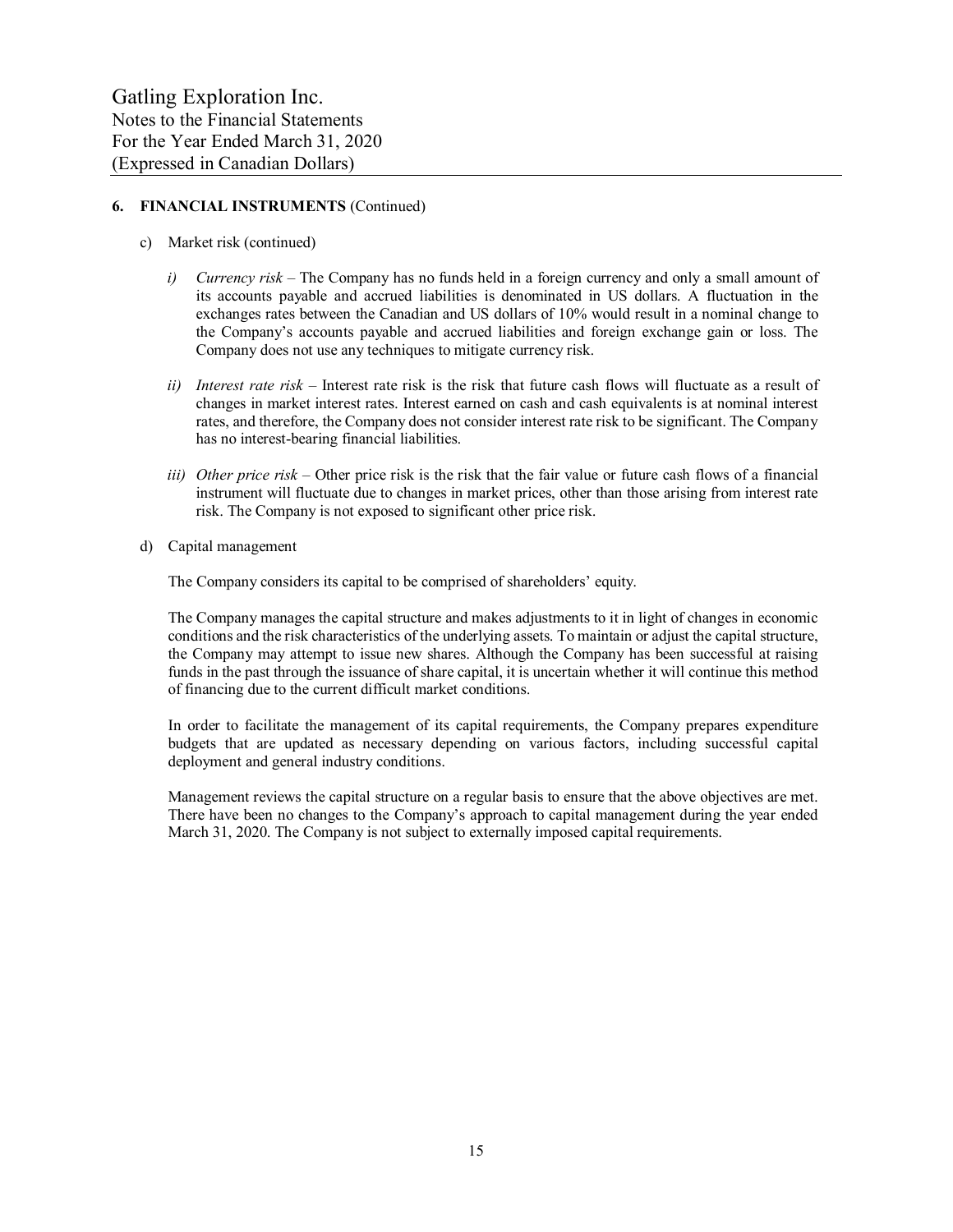## **6. FINANCIAL INSTRUMENTS** (Continued)

- c) Market risk (continued)
	- *i) Currency risk –* The Company has no funds held in a foreign currency and only a small amount of its accounts payable and accrued liabilities is denominated in US dollars. A fluctuation in the exchanges rates between the Canadian and US dollars of 10% would result in a nominal change to the Company's accounts payable and accrued liabilities and foreign exchange gain or loss. The Company does not use any techniques to mitigate currency risk.
	- *ii) Interest rate risk –* Interest rate risk is the risk that future cash flows will fluctuate as a result of changes in market interest rates. Interest earned on cash and cash equivalents is at nominal interest rates, and therefore, the Company does not consider interest rate risk to be significant. The Company has no interest-bearing financial liabilities.
	- *iii) Other price risk –* Other price risk is the risk that the fair value or future cash flows of a financial instrument will fluctuate due to changes in market prices, other than those arising from interest rate risk. The Company is not exposed to significant other price risk.
- d) Capital management

The Company considers its capital to be comprised of shareholders' equity.

The Company manages the capital structure and makes adjustments to it in light of changes in economic conditions and the risk characteristics of the underlying assets. To maintain or adjust the capital structure, the Company may attempt to issue new shares. Although the Company has been successful at raising funds in the past through the issuance of share capital, it is uncertain whether it will continue this method of financing due to the current difficult market conditions.

In order to facilitate the management of its capital requirements, the Company prepares expenditure budgets that are updated as necessary depending on various factors, including successful capital deployment and general industry conditions.

Management reviews the capital structure on a regular basis to ensure that the above objectives are met. There have been no changes to the Company's approach to capital management during the year ended March 31, 2020. The Company is not subject to externally imposed capital requirements.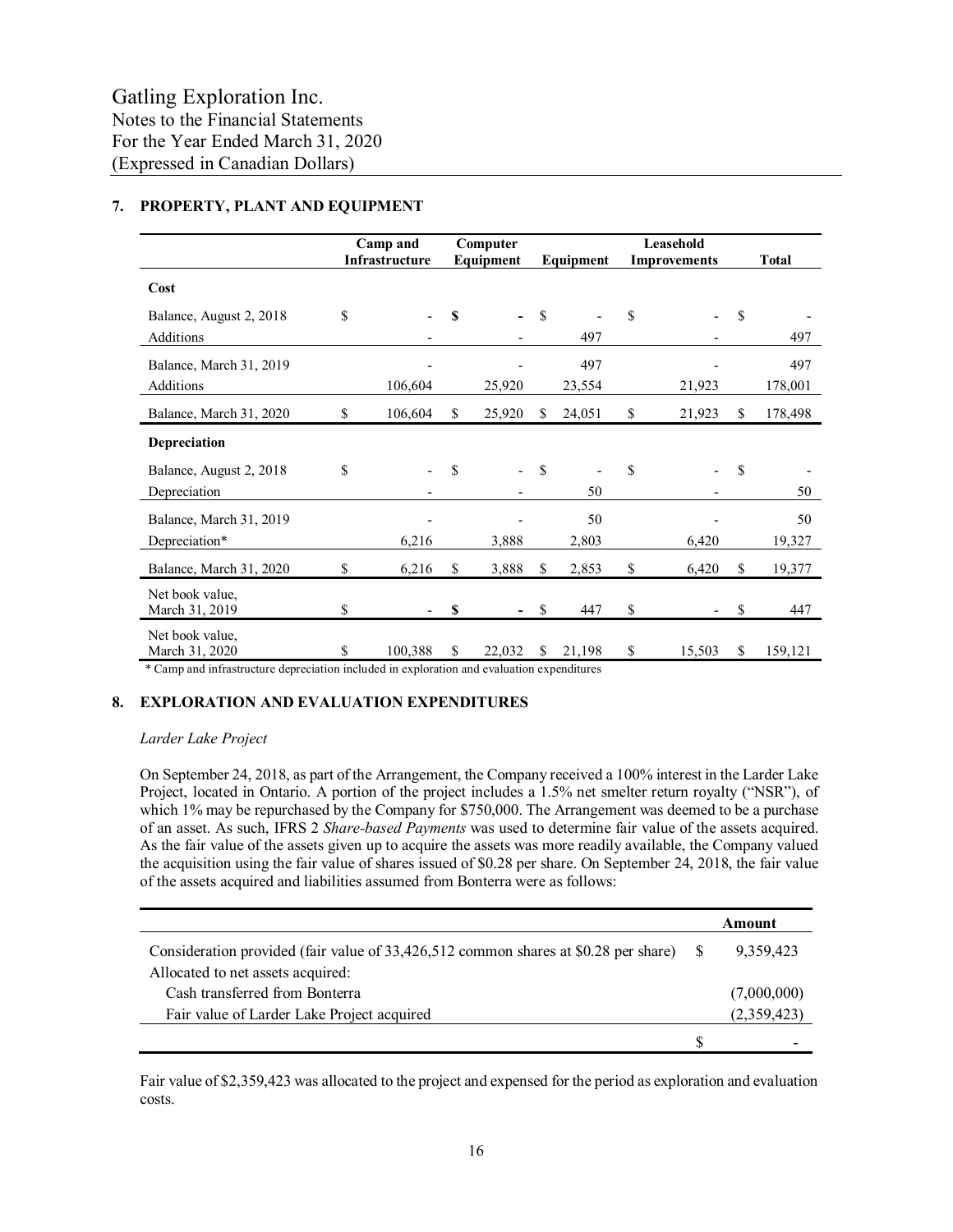|                                          | Camp and<br>Infrastructure |    | Computer<br>Equipment |               | Equipment     |               | Leasehold<br><b>Improvements</b> |               | <b>Total</b>   |
|------------------------------------------|----------------------------|----|-----------------------|---------------|---------------|---------------|----------------------------------|---------------|----------------|
| Cost                                     |                            |    |                       |               |               |               |                                  |               |                |
| Balance, August 2, 2018<br>Additions     | \$                         | S  |                       | \$            | 497           | \$            |                                  | \$            | 497            |
| Balance, March 31, 2019<br>Additions     | 106,604                    |    | 25,920                |               | 497<br>23,554 |               | 21,923                           |               | 497<br>178,001 |
| Balance, March 31, 2020                  | \$<br>106,604              | \$ | 25,920                | \$.           | 24,051        | \$            | 21,923                           | <sup>\$</sup> | 178,498        |
| Depreciation                             |                            |    |                       |               |               |               |                                  |               |                |
| Balance, August 2, 2018<br>Depreciation  | \$                         | \$ |                       | \$            | 50            | <sup>\$</sup> |                                  | \$            | 50             |
| Balance, March 31, 2019<br>Depreciation* | 6,216                      |    | 3,888                 |               | 50<br>2,803   |               | 6,420                            |               | 50<br>19,327   |
| Balance, March 31, 2020                  | \$<br>6,216                | \$ | 3,888                 | <sup>\$</sup> | 2,853         | \$            | 6,420                            | <sup>\$</sup> | 19,377         |
| Net book value,<br>March 31, 2019        | \$                         | \$ |                       | \$            | 447           | \$            |                                  | S             | 447            |
| Net book value,<br>March 31, 2020        | \$<br>100,388              | \$ | 22,032                | <sup>\$</sup> | 21,198        | \$            | 15,503                           | <sup>\$</sup> | 159,121        |

## **7. PROPERTY, PLANT AND EQUIPMENT**

\* Camp and infrastructure depreciation included in exploration and evaluation expenditures

## **8. EXPLORATION AND EVALUATION EXPENDITURES**

#### *Larder Lake Project*

On September 24, 2018, as part of the Arrangement, the Company received a 100% interest in the Larder Lake Project, located in Ontario. A portion of the project includes a 1.5% net smelter return royalty ("NSR"), of which 1% may be repurchased by the Company for \$750,000. The Arrangement was deemed to be a purchase of an asset. As such, IFRS 2 *Share-based Payments* was used to determine fair value of the assets acquired. As the fair value of the assets given up to acquire the assets was more readily available, the Company valued the acquisition using the fair value of shares issued of \$0.28 per share. On September 24, 2018, the fair value of the assets acquired and liabilities assumed from Bonterra were as follows:

|                                                                                        |   | Amount      |
|----------------------------------------------------------------------------------------|---|-------------|
| Consideration provided (fair value of 33,426,512 common shares at \$0.28 per share) \$ |   | 9.359.423   |
| Allocated to net assets acquired:                                                      |   |             |
| Cash transferred from Bonterra                                                         |   | (7,000,000) |
| Fair value of Larder Lake Project acquired                                             |   | (2,359,423) |
|                                                                                        | S |             |

Fair value of \$2,359,423 was allocated to the project and expensed for the period as exploration and evaluation costs.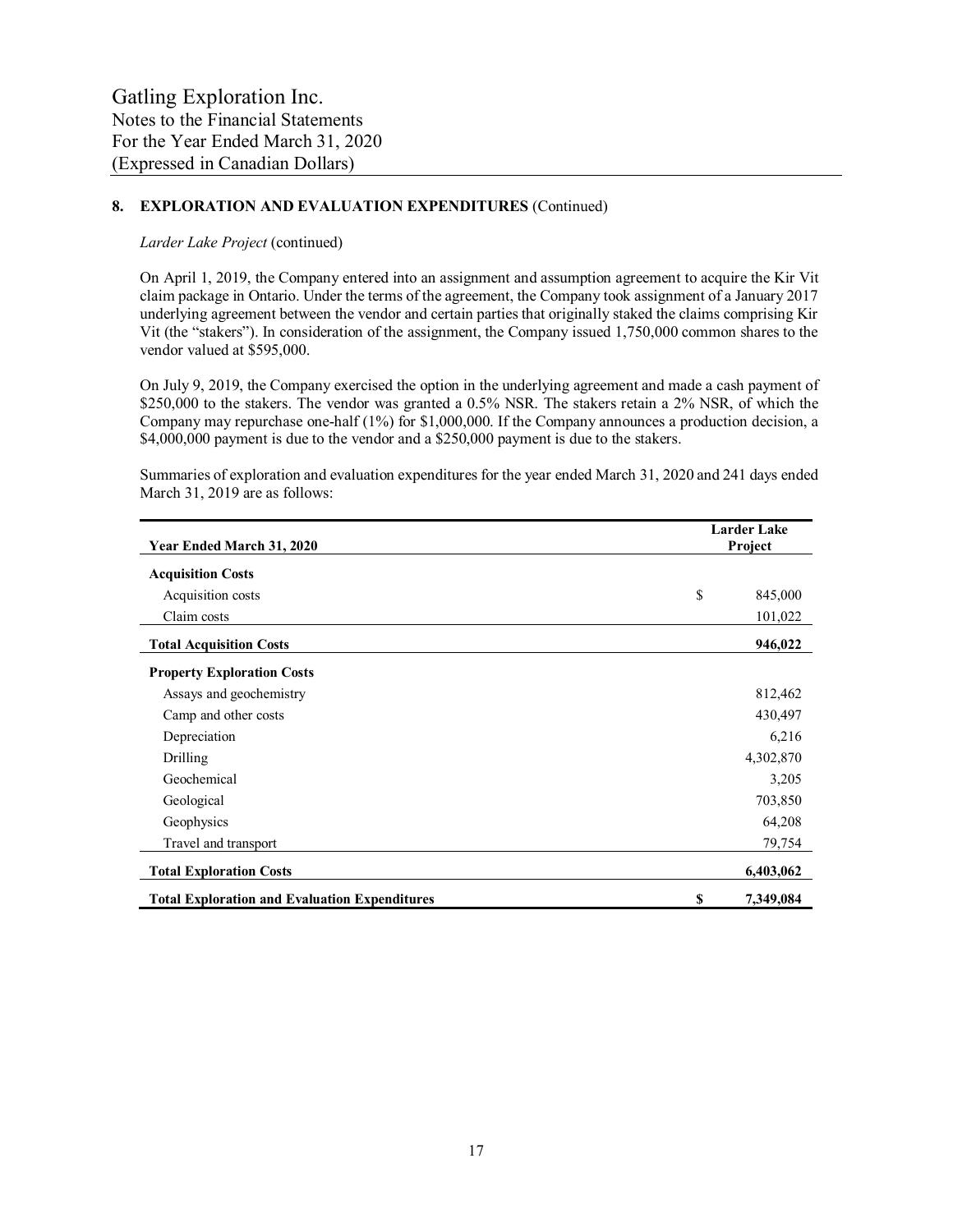## **8. EXPLORATION AND EVALUATION EXPENDITURES** (Continued)

#### *Larder Lake Project* (continued)

On April 1, 2019, the Company entered into an assignment and assumption agreement to acquire the Kir Vit claim package in Ontario. Under the terms of the agreement, the Company took assignment of a January 2017 underlying agreement between the vendor and certain parties that originally staked the claims comprising Kir Vit (the "stakers"). In consideration of the assignment, the Company issued 1,750,000 common shares to the vendor valued at \$595,000.

On July 9, 2019, the Company exercised the option in the underlying agreement and made a cash payment of \$250,000 to the stakers. The vendor was granted a 0.5% NSR. The stakers retain a 2% NSR, of which the Company may repurchase one-half (1%) for \$1,000,000. If the Company announces a production decision, a \$4,000,000 payment is due to the vendor and a \$250,000 payment is due to the stakers.

| Year Ended March 31, 2020                            | <b>Larder Lake</b><br>Project |  |
|------------------------------------------------------|-------------------------------|--|
| <b>Acquisition Costs</b>                             |                               |  |
| Acquisition costs                                    | \$<br>845,000                 |  |
| Claim costs                                          | 101,022                       |  |
| <b>Total Acquisition Costs</b>                       | 946,022                       |  |
| <b>Property Exploration Costs</b>                    |                               |  |
| Assays and geochemistry                              | 812,462                       |  |
| Camp and other costs                                 | 430,497                       |  |
| Depreciation                                         | 6,216                         |  |
| Drilling                                             | 4,302,870                     |  |
| Geochemical                                          | 3,205                         |  |
| Geological                                           | 703,850                       |  |
| Geophysics                                           | 64,208                        |  |
| Travel and transport                                 | 79,754                        |  |
| <b>Total Exploration Costs</b>                       | 6,403,062                     |  |
| <b>Total Exploration and Evaluation Expenditures</b> | \$<br>7,349,084               |  |

Summaries of exploration and evaluation expenditures for the year ended March 31, 2020 and 241 days ended March 31, 2019 are as follows: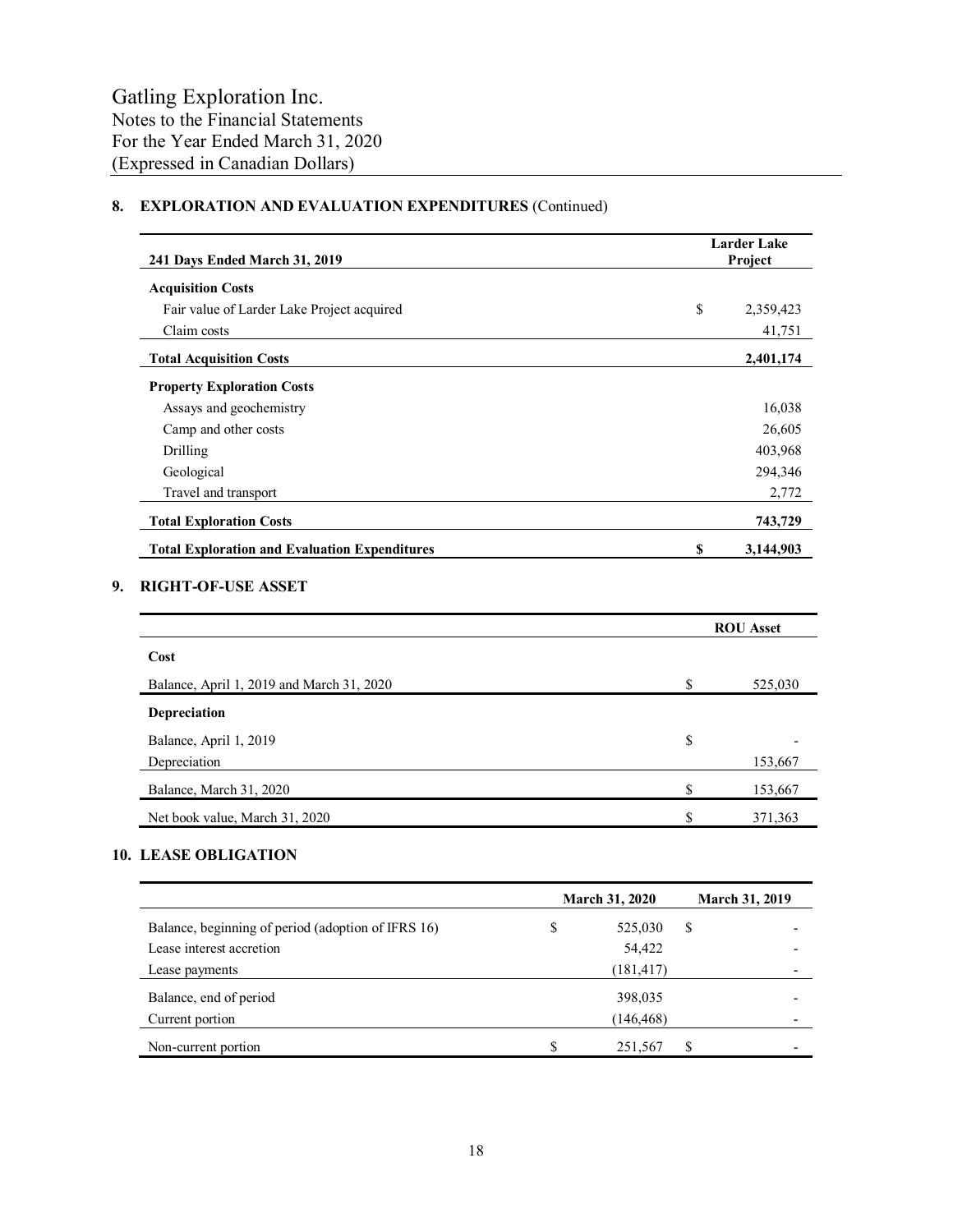## **8. EXPLORATION AND EVALUATION EXPENDITURES** (Continued)

| 241 Days Ended March 31, 2019                        | <b>Larder Lake</b><br>Project |
|------------------------------------------------------|-------------------------------|
| <b>Acquisition Costs</b>                             |                               |
| Fair value of Larder Lake Project acquired           | \$<br>2,359,423               |
| Claim costs                                          | 41,751                        |
| <b>Total Acquisition Costs</b>                       | 2,401,174                     |
| <b>Property Exploration Costs</b>                    |                               |
| Assays and geochemistry                              | 16,038                        |
| Camp and other costs                                 | 26,605                        |
| Drilling                                             | 403,968                       |
| Geological                                           | 294,346                       |
| Travel and transport                                 | 2,772                         |
| <b>Total Exploration Costs</b>                       | 743,729                       |
| <b>Total Exploration and Evaluation Expenditures</b> | \$<br>3,144,903               |

## **9. RIGHT-OF-USE ASSET**

|                                           | <b>ROU Asset</b> |         |
|-------------------------------------------|------------------|---------|
| Cost                                      |                  |         |
| Balance, April 1, 2019 and March 31, 2020 | \$               | 525,030 |
| Depreciation                              |                  |         |
| Balance, April 1, 2019                    | \$               |         |
| Depreciation                              |                  | 153,667 |
| Balance, March 31, 2020                   | \$               | 153,667 |
| Net book value, March 31, 2020            | \$               | 371,363 |

## **10. LEASE OBLIGATION**

|                                                    |    | <b>March 31, 2020</b> |   | <b>March 31, 2019</b> |
|----------------------------------------------------|----|-----------------------|---|-----------------------|
| Balance, beginning of period (adoption of IFRS 16) | \$ | 525,030               | S |                       |
| Lease interest accretion                           |    | 54,422                |   |                       |
| Lease payments                                     |    | (181, 417)            |   |                       |
| Balance, end of period                             |    | 398,035               |   |                       |
| Current portion                                    |    | (146, 468)            |   |                       |
| Non-current portion                                | S  | 251,567               |   |                       |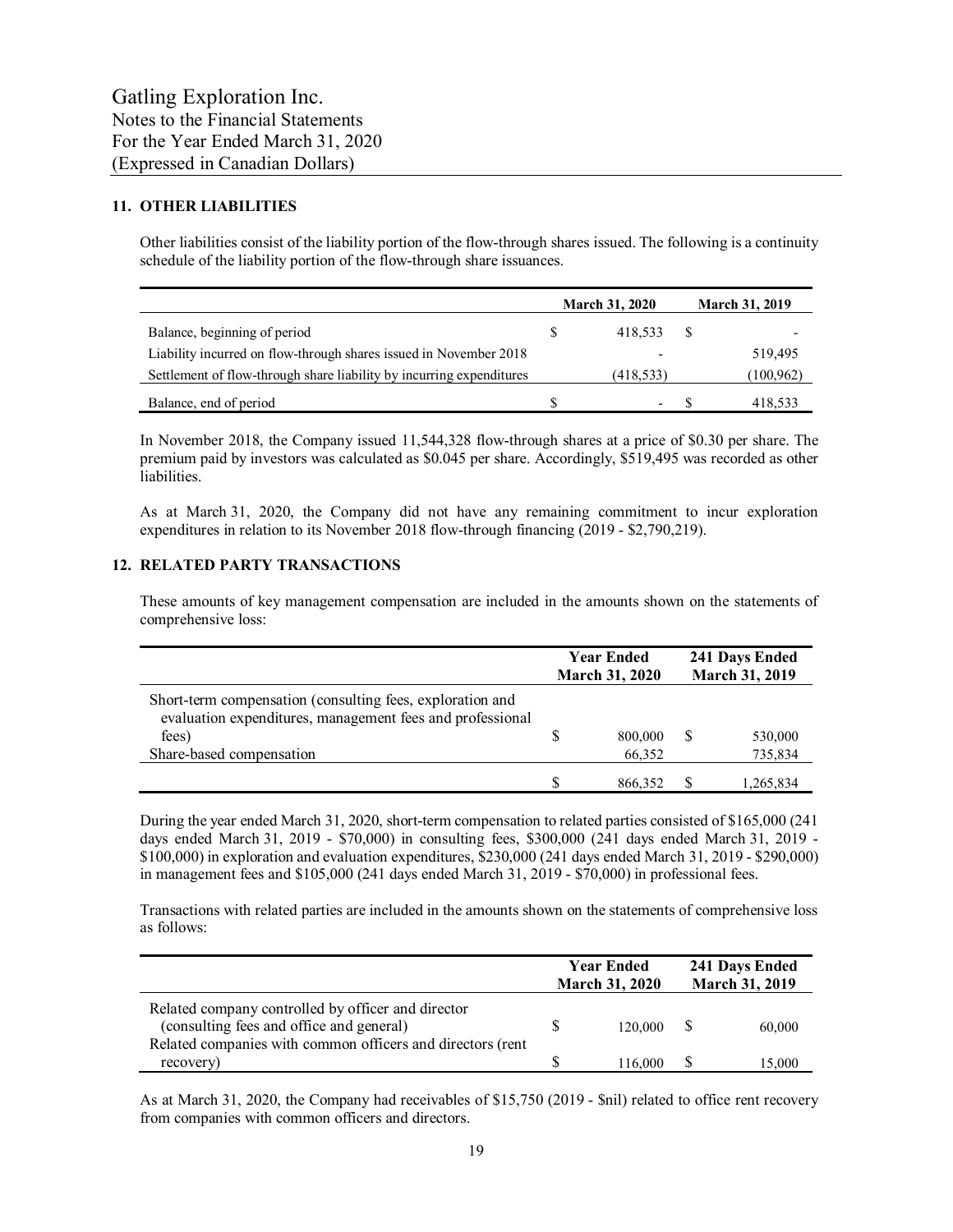## **11. OTHER LIABILITIES**

Other liabilities consist of the liability portion of the flow-through shares issued. The following is a continuity schedule of the liability portion of the flow-through share issuances.

|                                                                      | <b>March 31, 2020</b> |     | <b>March 31, 2019</b> |
|----------------------------------------------------------------------|-----------------------|-----|-----------------------|
| Balance, beginning of period                                         | 418.533               | - S |                       |
| Liability incurred on flow-through shares issued in November 2018    |                       |     | 519,495               |
| Settlement of flow-through share liability by incurring expenditures | (418, 533)            |     | (100, 962)            |
| Balance, end of period                                               | ٠                     |     | 418.533               |

In November 2018, the Company issued 11,544,328 flow-through shares at a price of \$0.30 per share. The premium paid by investors was calculated as \$0.045 per share. Accordingly, \$519,495 was recorded as other liabilities.

As at March 31, 2020, the Company did not have any remaining commitment to incur exploration expenditures in relation to its November 2018 flow-through financing (2019 - \$2,790,219).

## **12. RELATED PARTY TRANSACTIONS**

These amounts of key management compensation are included in the amounts shown on the statements of comprehensive loss:

|                                                                                                                                                             | <b>Year Ended</b><br><b>March 31, 2020</b> |                   | 241 Days Ended<br>March 31, 2019 |                    |
|-------------------------------------------------------------------------------------------------------------------------------------------------------------|--------------------------------------------|-------------------|----------------------------------|--------------------|
| Short-term compensation (consulting fees, exploration and<br>evaluation expenditures, management fees and professional<br>fees)<br>Share-based compensation | S                                          | 800,000<br>66,352 |                                  | 530,000<br>735,834 |
|                                                                                                                                                             | S                                          | 866,352           |                                  | 1,265,834          |

During the year ended March 31, 2020, short-term compensation to related parties consisted of \$165,000 (241 days ended March 31, 2019 - \$70,000) in consulting fees, \$300,000 (241 days ended March 31, 2019 - \$100,000) in exploration and evaluation expenditures, \$230,000 (241 days ended March 31, 2019 - \$290,000) in management fees and \$105,000 (241 days ended March 31, 2019 - \$70,000) in professional fees.

Transactions with related parties are included in the amounts shown on the statements of comprehensive loss as follows:

|                                                                                                | <b>Year Ended</b><br><b>March 31, 2020</b> |         | 241 Days Ended<br><b>March 31, 2019</b> |        |
|------------------------------------------------------------------------------------------------|--------------------------------------------|---------|-----------------------------------------|--------|
| Related company controlled by officer and director<br>(consulting fees and office and general) |                                            | 120,000 |                                         | 60,000 |
| Related companies with common officers and directors (rent<br>recovery)                        |                                            | 116,000 |                                         | 15,000 |

As at March 31, 2020, the Company had receivables of \$15,750 (2019 - \$nil) related to office rent recovery from companies with common officers and directors.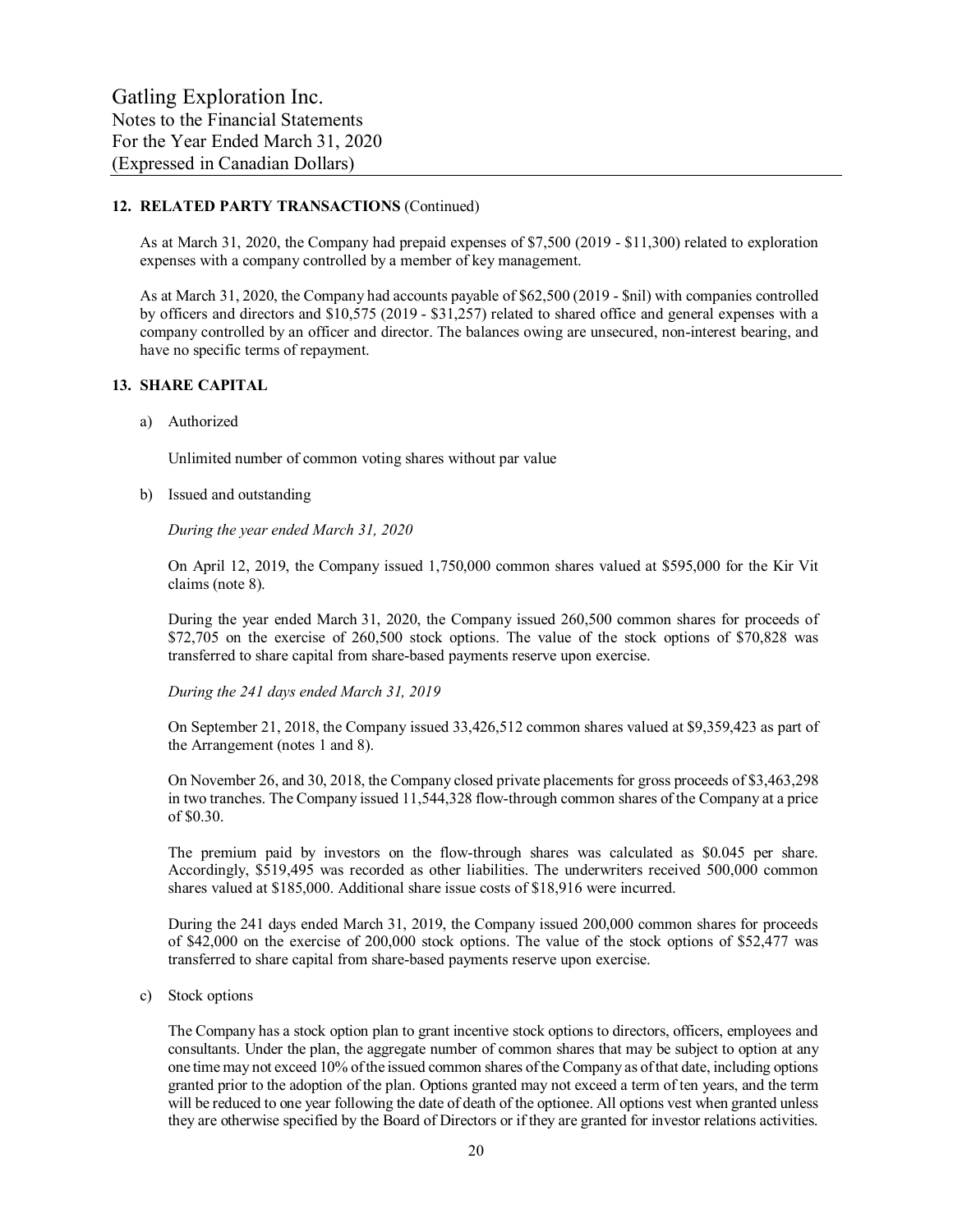## **12. RELATED PARTY TRANSACTIONS** (Continued)

As at March 31, 2020, the Company had prepaid expenses of \$7,500 (2019 - \$11,300) related to exploration expenses with a company controlled by a member of key management.

As at March 31, 2020, the Company had accounts payable of \$62,500 (2019 - \$nil) with companies controlled by officers and directors and \$10,575 (2019 - \$31,257) related to shared office and general expenses with a company controlled by an officer and director. The balances owing are unsecured, non-interest bearing, and have no specific terms of repayment.

## **13. SHARE CAPITAL**

a) Authorized

Unlimited number of common voting shares without par value

b) Issued and outstanding

*During the year ended March 31, 2020*

On April 12, 2019, the Company issued 1,750,000 common shares valued at \$595,000 for the Kir Vit claims (note 8).

During the year ended March 31, 2020, the Company issued 260,500 common shares for proceeds of \$72,705 on the exercise of 260,500 stock options. The value of the stock options of \$70,828 was transferred to share capital from share-based payments reserve upon exercise.

*During the 241 days ended March 31, 2019*

On September 21, 2018, the Company issued 33,426,512 common shares valued at \$9,359,423 as part of the Arrangement (notes 1 and 8).

On November 26, and 30, 2018, the Company closed private placements for gross proceeds of \$3,463,298 in two tranches. The Company issued 11,544,328 flow-through common shares of the Company at a price of \$0.30.

The premium paid by investors on the flow-through shares was calculated as \$0.045 per share. Accordingly, \$519,495 was recorded as other liabilities. The underwriters received 500,000 common shares valued at \$185,000. Additional share issue costs of \$18,916 were incurred.

During the 241 days ended March 31, 2019, the Company issued 200,000 common shares for proceeds of \$42,000 on the exercise of 200,000 stock options. The value of the stock options of \$52,477 was transferred to share capital from share-based payments reserve upon exercise.

c) Stock options

The Company has a stock option plan to grant incentive stock options to directors, officers, employees and consultants. Under the plan, the aggregate number of common shares that may be subject to option at any one time may not exceed 10% of the issued common shares of the Company as of that date, including options granted prior to the adoption of the plan. Options granted may not exceed a term of ten years, and the term will be reduced to one year following the date of death of the optionee. All options vest when granted unless they are otherwise specified by the Board of Directors or if they are granted for investor relations activities.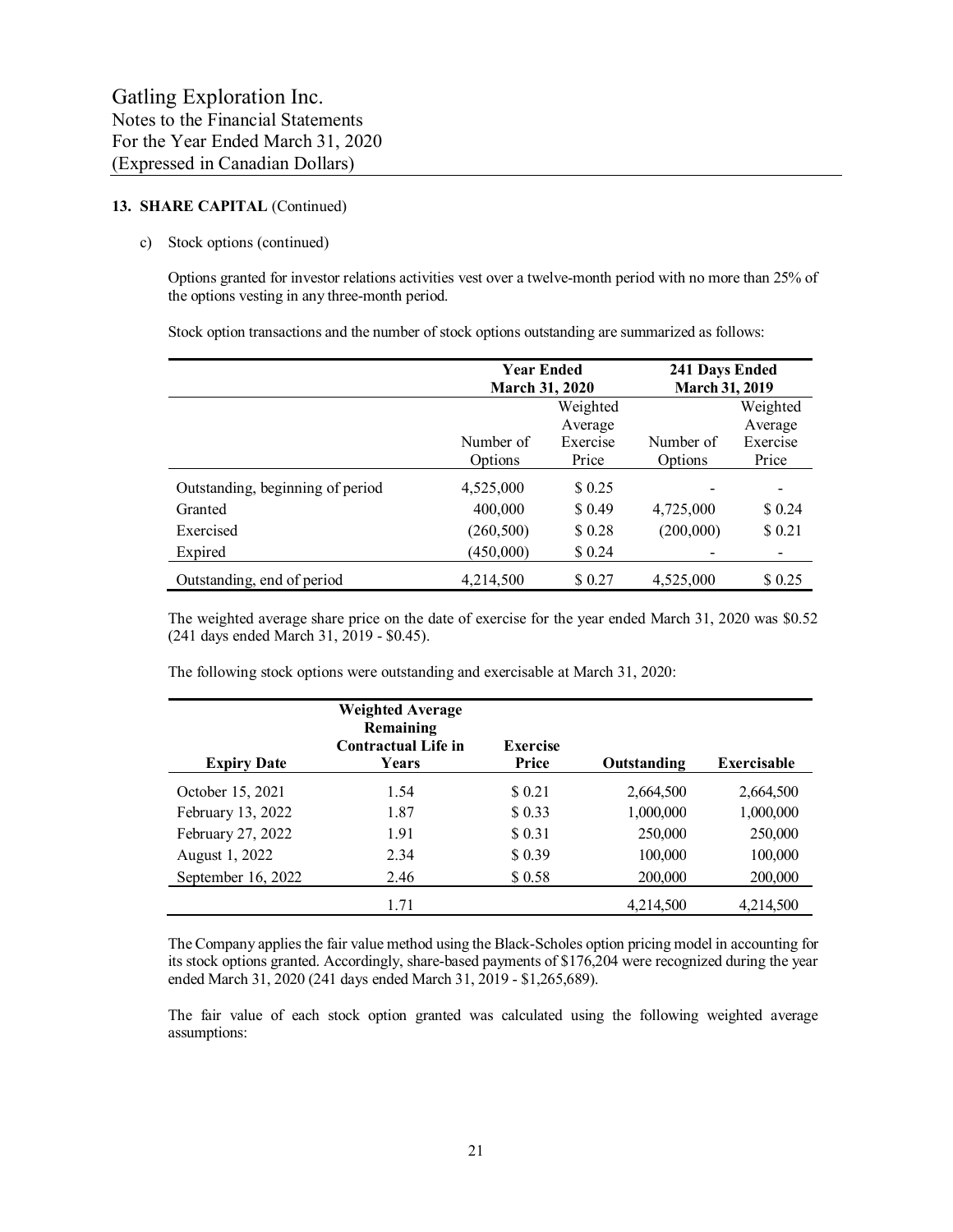## **13. SHARE CAPITAL** (Continued)

c) Stock options (continued)

Options granted for investor relations activities vest over a twelve-month period with no more than 25% of the options vesting in any three-month period.

Stock option transactions and the number of stock options outstanding are summarized as follows:

|                                  | <b>Year Ended</b><br><b>March 31, 2020</b> |          |           |          | 241 Days Ended<br><b>March 31, 2019</b> |  |
|----------------------------------|--------------------------------------------|----------|-----------|----------|-----------------------------------------|--|
|                                  | Weighted                                   |          |           | Weighted |                                         |  |
|                                  |                                            | Average  |           | Average  |                                         |  |
|                                  | Number of                                  | Exercise | Number of | Exercise |                                         |  |
|                                  | Options                                    | Price    | Options   | Price    |                                         |  |
| Outstanding, beginning of period | 4,525,000                                  | \$0.25   |           |          |                                         |  |
| Granted                          | 400,000                                    | \$0.49   | 4,725,000 | \$ 0.24  |                                         |  |
| Exercised                        | (260, 500)                                 | \$0.28   | (200,000) | \$ 0.21  |                                         |  |
| Expired                          | (450,000)                                  | \$ 0.24  |           |          |                                         |  |
| Outstanding, end of period       | 4.214.500                                  | \$ 0.27  | 4.525,000 | \$0.25   |                                         |  |

The weighted average share price on the date of exercise for the year ended March 31, 2020 was \$0.52 (241 days ended March 31, 2019 - \$0.45).

The following stock options were outstanding and exercisable at March 31, 2020:

| <b>Expiry Date</b> | <b>Weighted Average</b><br>Remaining<br><b>Contractual Life in</b><br>Years | <b>Exercise</b><br>Price | Outstanding | Exercisable |
|--------------------|-----------------------------------------------------------------------------|--------------------------|-------------|-------------|
| October 15, 2021   | 1.54                                                                        | \$ 0.21                  | 2,664,500   | 2,664,500   |
| February 13, 2022  | 1.87                                                                        | \$0.33                   | 1,000,000   | 1,000,000   |
| February 27, 2022  | 1.91                                                                        | \$ 0.31                  | 250,000     | 250,000     |
| August 1, 2022     | 2.34                                                                        | \$0.39                   | 100,000     | 100,000     |
| September 16, 2022 | 2.46                                                                        | \$0.58                   | 200,000     | 200,000     |
|                    | 1.71                                                                        |                          | 4,214,500   | 4,214,500   |

The Company applies the fair value method using the Black-Scholes option pricing model in accounting for its stock options granted. Accordingly, share-based payments of \$176,204 were recognized during the year ended March 31, 2020 (241 days ended March 31, 2019 - \$1,265,689).

The fair value of each stock option granted was calculated using the following weighted average assumptions: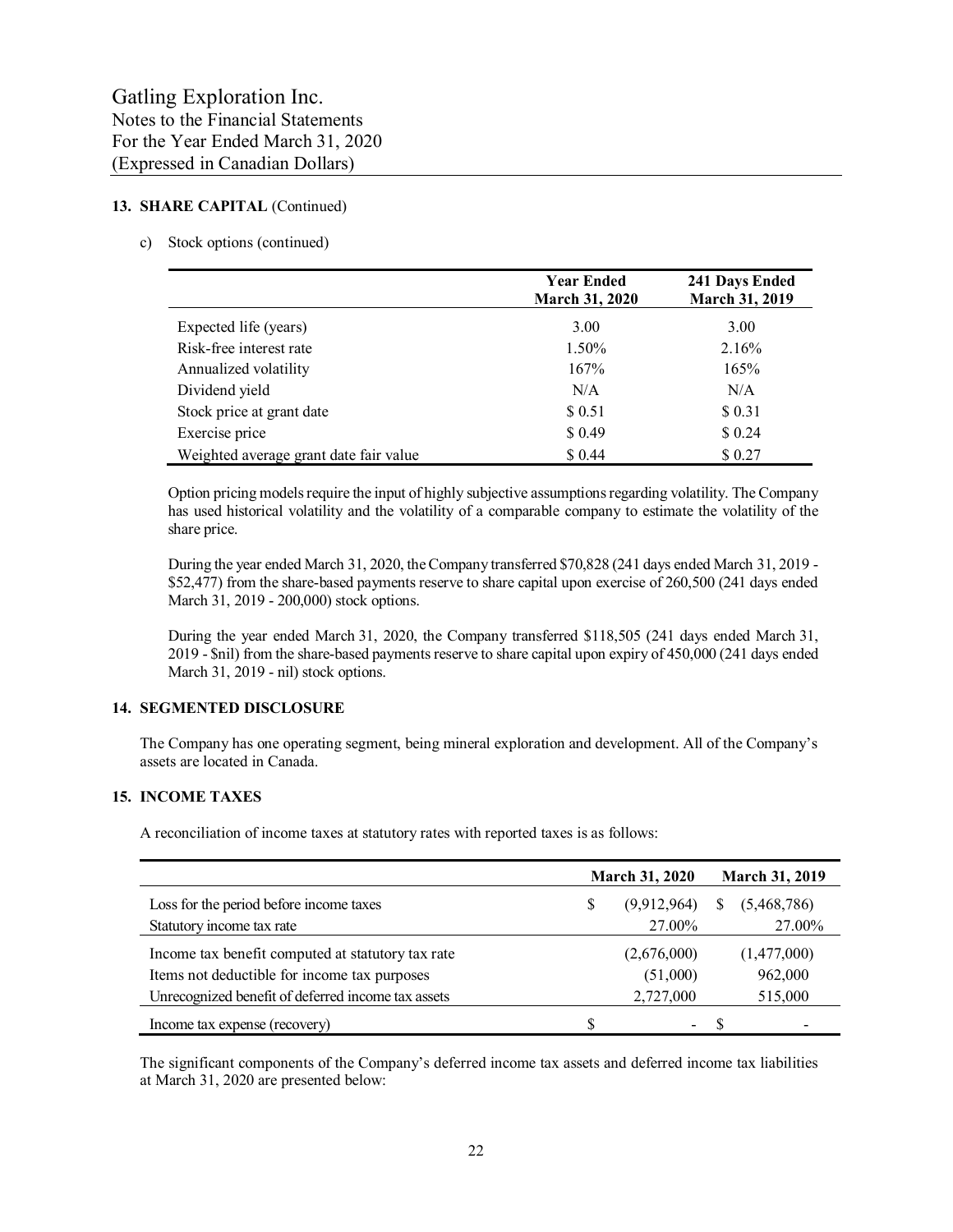## **13. SHARE CAPITAL** (Continued)

c) Stock options (continued)

|                                        | <b>Year Ended</b><br><b>March 31, 2020</b> | 241 Days Ended<br><b>March 31, 2019</b> |
|----------------------------------------|--------------------------------------------|-----------------------------------------|
| Expected life (years)                  | 3.00                                       | 3.00                                    |
| Risk-free interest rate                | 1.50%                                      | 2.16%                                   |
| Annualized volatility                  | 167%                                       | 165%                                    |
| Dividend yield                         | N/A                                        | N/A                                     |
| Stock price at grant date              | \$ 0.51                                    | \$ 0.31                                 |
| Exercise price                         | \$ 0.49                                    | \$0.24                                  |
| Weighted average grant date fair value | \$ 0.44                                    | \$ 0.27                                 |

Option pricing models require the input of highly subjective assumptions regarding volatility. The Company has used historical volatility and the volatility of a comparable company to estimate the volatility of the share price.

During the year ended March 31, 2020, the Company transferred \$70,828 (241 days ended March 31, 2019 - \$52,477) from the share-based payments reserve to share capital upon exercise of 260,500 (241 days ended March 31, 2019 - 200,000) stock options.

During the year ended March 31, 2020, the Company transferred \$118,505 (241 days ended March 31, 2019 - \$nil) from the share-based payments reserve to share capital upon expiry of 450,000 (241 days ended March 31, 2019 - nil) stock options.

#### **14. SEGMENTED DISCLOSURE**

The Company has one operating segment, being mineral exploration and development. All of the Company's assets are located in Canada.

## **15. INCOME TAXES**

A reconciliation of income taxes at statutory rates with reported taxes is as follows:

|                                                    |   | <b>March 31, 2020</b> |   | <b>March 31, 2019</b> |
|----------------------------------------------------|---|-----------------------|---|-----------------------|
| Loss for the period before income taxes            | S | (9,912,964)           | S | (5,468,786)           |
| Statutory income tax rate                          |   | 27.00%                |   | 27.00%                |
| Income tax benefit computed at statutory tax rate  |   | (2,676,000)           |   | (1,477,000)           |
| Items not deductible for income tax purposes       |   | (51,000)              |   | 962,000               |
| Unrecognized benefit of deferred income tax assets |   | 2,727,000             |   | 515,000               |
| Income tax expense (recovery)                      | S | -                     |   |                       |

The significant components of the Company's deferred income tax assets and deferred income tax liabilities at March 31, 2020 are presented below: